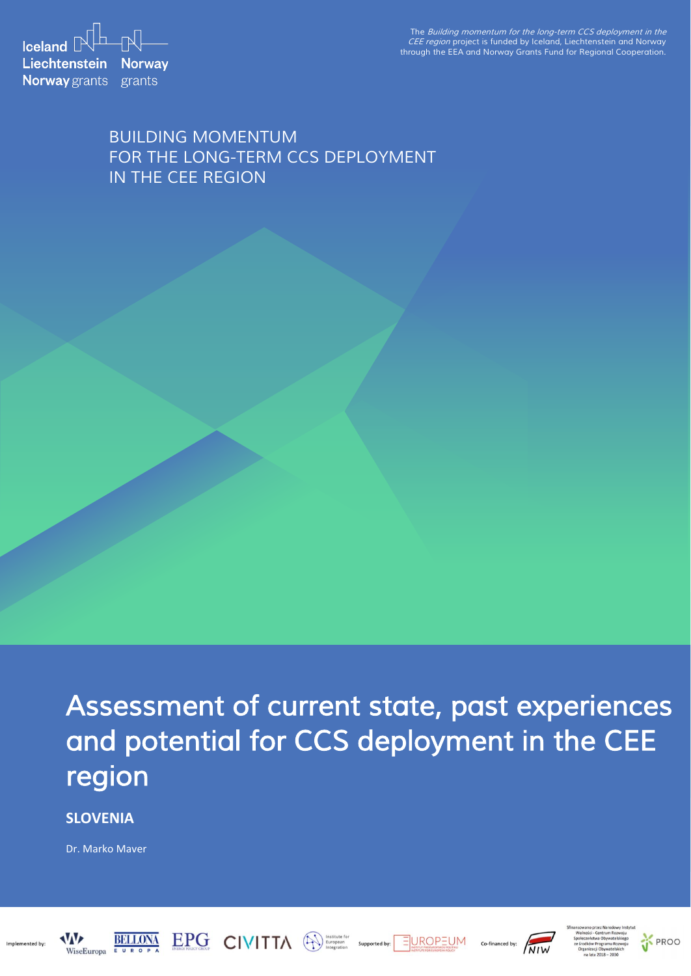**Iceland**  $\mathbb{R}^{\mathbb{L}}$   $\mathbb{R}$ **Liechtenstein Norway Norway** grants grants

*The Building momentum for the long-term CCS deployment in the CEE region project is funded by Iceland, Liechtenstein and Norway through the EEA and Norway Grants Fund for Regional Cooperation.*

## *BUILDING MOMENTUM FOR THE LONG-TERM CCS DEPLOYMENT IN THE CEE REGION*

*Assessment of current state, past experiences and potential for CCS deployment in the CEE region* 

**SLOVENIA**

Dr. Marko Maver









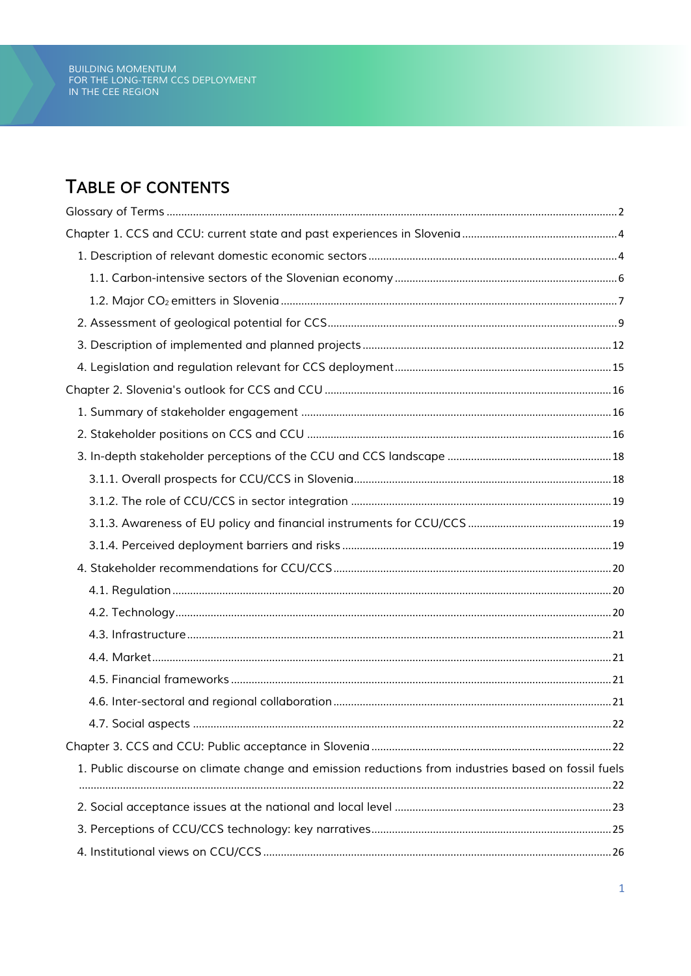## TABLE OF CONTENTS

|                                                                                                     | . 22 |
|-----------------------------------------------------------------------------------------------------|------|
|                                                                                                     |      |
| 1. Public discourse on climate change and emission reductions from industries based on fossil fuels |      |
|                                                                                                     |      |
|                                                                                                     |      |
|                                                                                                     |      |
|                                                                                                     |      |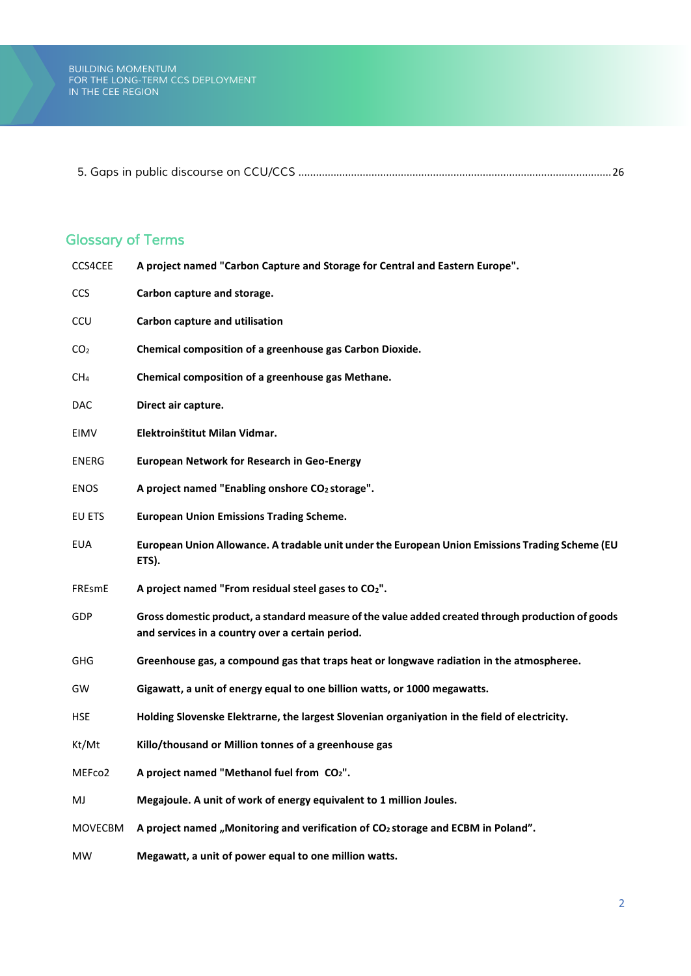*5. Gaps in public discourse on CCU/CCS* [...........................................................................................................26](#page-26-1)

## <span id="page-2-0"></span>*Glossary of Terms*

| CCS4CEE         | A project named "Carbon Capture and Storage for Central and Eastern Europe".                                                                          |
|-----------------|-------------------------------------------------------------------------------------------------------------------------------------------------------|
| <b>CCS</b>      | Carbon capture and storage.                                                                                                                           |
| <b>CCU</b>      | Carbon capture and utilisation                                                                                                                        |
| CO <sub>2</sub> | Chemical composition of a greenhouse gas Carbon Dioxide.                                                                                              |
| CH <sub>4</sub> | Chemical composition of a greenhouse gas Methane.                                                                                                     |
| <b>DAC</b>      | Direct air capture.                                                                                                                                   |
| EIMV            | Elektroinštitut Milan Vidmar.                                                                                                                         |
| ENERG           | <b>European Network for Research in Geo-Energy</b>                                                                                                    |
| <b>ENOS</b>     | A project named "Enabling onshore CO2 storage".                                                                                                       |
| EU ETS          | <b>European Union Emissions Trading Scheme.</b>                                                                                                       |
| <b>EUA</b>      | European Union Allowance. A tradable unit under the European Union Emissions Trading Scheme (EU<br>ETS).                                              |
| FREsmE          | A project named "From residual steel gases to CO <sub>2</sub> ".                                                                                      |
| GDP             | Gross domestic product, a standard measure of the value added created through production of goods<br>and services in a country over a certain period. |
| <b>GHG</b>      | Greenhouse gas, a compound gas that traps heat or longwave radiation in the atmospheree.                                                              |
| GW              | Gigawatt, a unit of energy equal to one billion watts, or 1000 megawatts.                                                                             |
| <b>HSE</b>      | Holding Slovenske Elektrarne, the largest Slovenian organiyation in the field of electricity.                                                         |
| Kt/Mt           | Killo/thousand or Million tonnes of a greenhouse gas                                                                                                  |
| MEFco2          | A project named "Methanol fuel from CO2"                                                                                                              |
| MJ              | Megajoule. A unit of work of energy equivalent to 1 million Joules.                                                                                   |
| <b>MOVECBM</b>  | A project named "Monitoring and verification of CO <sub>2</sub> storage and ECBM in Poland".                                                          |
| <b>MW</b>       | Megawatt, a unit of power equal to one million watts.                                                                                                 |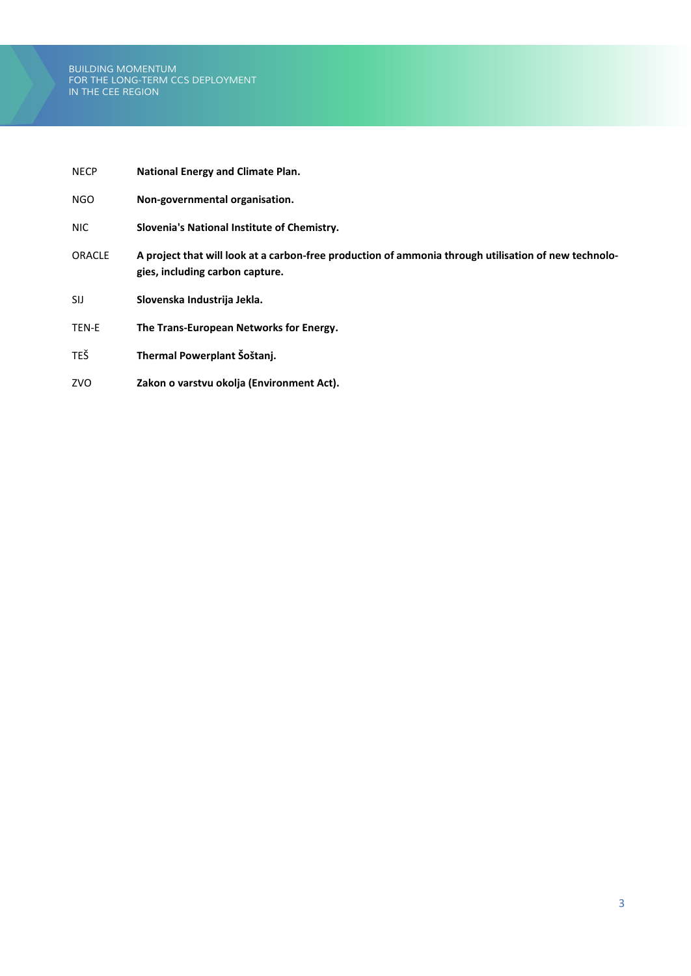| <b>NECP</b>   | <b>National Energy and Climate Plan.</b>                                                                                                |
|---------------|-----------------------------------------------------------------------------------------------------------------------------------------|
| NGO.          | Non-governmental organisation.                                                                                                          |
| NIC.          | Slovenia's National Institute of Chemistry.                                                                                             |
| <b>ORACLE</b> | A project that will look at a carbon-free production of ammonia through utilisation of new technolo-<br>gies, including carbon capture. |
| SIJ           | Slovenska Industrija Jekla.                                                                                                             |
| TEN-E         | The Trans-European Networks for Energy.                                                                                                 |
| <b>TEŠ</b>    | Thermal Powerplant Šoštanj.                                                                                                             |
| ZVO           | Zakon o varstvu okolja (Environment Act).                                                                                               |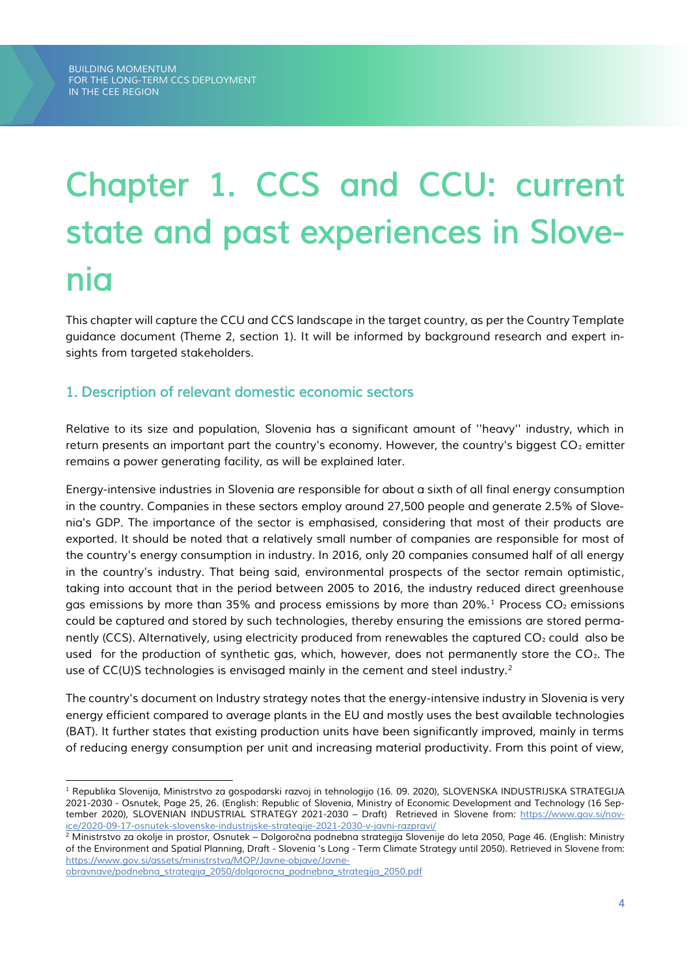# <span id="page-4-0"></span>*Chapter 1. CCS and CCU: current state and past experiences in Slovenia*

*This chapter will capture the CCU and CCS landscape in the target country, as per the Country Template guidance document (Theme 2, section 1). It will be informed by background research and expert insights from targeted stakeholders.*

## <span id="page-4-1"></span>*1. Description of relevant domestic economic sectors*

*Relative to its size and population, Slovenia has a significant amount of ''heavy'' industry, which in return presents an important part the country's economy. However, the country's biggest CO*<sup>2</sup> *emitter remains a power generating facility, as will be explained later.*

*Energy-intensive industries in Slovenia are responsible for about a sixth of all final energy consumption in the country. Companies in these sectors employ around 27,500 people and generate 2.5% of Slovenia's GDP. The importance of the sector is emphasised, considering that most of their products are exported. It should be noted that a relatively small number of companies are responsible for most of the country's energy consumption in industry. In 2016, only 20 companies consumed half of all energy in the country's industry. That being said, environmental prospects of the sector remain optimistic, taking into account that in the period between 2005 to 2016, the industry reduced direct greenhouse gas emissions by more than 35% and process emissions by more than 20%.<sup>1</sup>Process CO*₂ *emissions could be captured and stored by such technologies, thereby ensuring the emissions are stored permanently (CCS). Alternatively, using electricity produced from renewables the captured CO*<sup>2</sup> *could also be used for the production of synthetic gas, which, however, does not permanently store the CO*<sup>2</sup>. The *use of CC(U)S technologies is envisaged mainly in the cement and steel industry.<sup>2</sup>*

*The country's document on Industry strategy notes that the energy-intensive industry in Slovenia is very energy efficient compared to average plants in the EU and mostly uses the best available technologies (BAT). It further states that existing production units have been significantly improved, mainly in terms of reducing energy consumption per unit and increasing material productivity. From this point of view,* 

*<sup>1</sup> Republika Slovenija, Ministrstvo za gospodarski razvoj in tehnologijo (16. 09. 2020), SLOVENSKA INDUSTRIJSKA STRATEGIJA 2021-2030 - Osnutek, Page 25, 26. (English: Republic of Slovenia, Ministry of Economic Development and Technology (16 Sep*tember 2020), SLOVENIAN INDUSTRIAL STRATEGY 2021-2030 - Draft) Retrieved in Slovene from: [https://www.gov.si/nov](https://www.gov.si/novice/2020-09-17-osnutek-slovenske-industrijske-strategije-2021-2030-v-javni-razpravi/)*[ice/2020-09-17-osnutek-slovenske-industrijske-strategije-2021-2030-v-javni-razpravi/](https://www.gov.si/novice/2020-09-17-osnutek-slovenske-industrijske-strategije-2021-2030-v-javni-razpravi/)*

*<sup>2</sup> Ministrstvo za okolje in prostor, Osnutek – Dolgoro*č*na podnebna strategija Slovenije do leta 2050, Page 46. (English: Ministry of the Environment and Spatial Planning, Draft - Slovenia 's Long - Term Climate Strategy until 2050). Retrieved in Slovene from: [https://www.gov.si/assets/ministrstva/MOP/Javne-objave/Javne-](https://www.gov.si/assets/ministrstva/MOP/Javne-objave/Javne-obravnave/podnebna_strategija_2050/dolgorocna_podnebna_strategija_2050.pdf)*

*[obravnave/podnebna\\_strategija\\_2050/dolgorocna\\_podnebna\\_strategija\\_2050.pdf](https://www.gov.si/assets/ministrstva/MOP/Javne-objave/Javne-obravnave/podnebna_strategija_2050/dolgorocna_podnebna_strategija_2050.pdf)*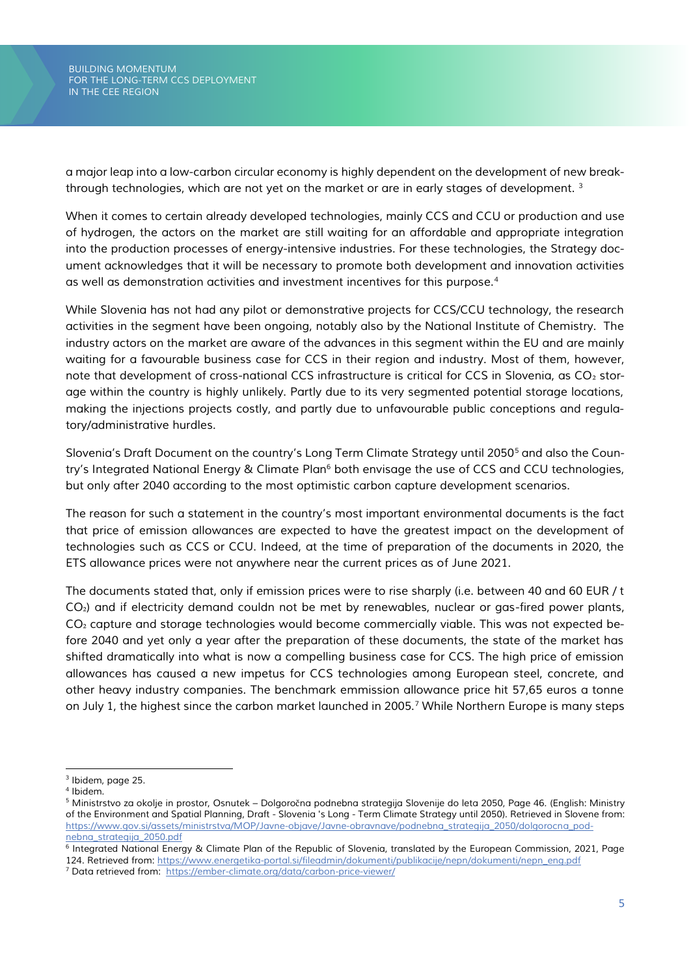*a major leap into a low-carbon circular economy is highly dependent on the development of new breakthrough technologies, which are not yet on the market or are in early stages of development. <sup>3</sup>*

*When it comes to certain already developed technologies, mainly CCS and CCU or production and use of hydrogen, the actors on the market are still waiting for an affordable and appropriate integration into the production processes of energy-intensive industries. For these technologies, the Strategy document acknowledges that it will be necessary to promote both development and innovation activities as well as demonstration activities and investment incentives for this purpose.<sup>4</sup>*

*While Slovenia has not had any pilot or demonstrative projects for CCS/CCU technology, the research activities in the segment have been ongoing, notably also by the National Institute of Chemistry. The industry actors on the market are aware of the advances in this segment within the EU and are mainly waiting for a favourable business case for CCS in their region and industry. Most of them, however, note that development of cross-national CCS infrastructure is critical for CCS in Slovenia, as CO<sub>2</sub> storage within the country is highly unlikely. Partly due to its very segmented potential storage locations, making the injections projects costly, and partly due to unfavourable public conceptions and regulatory/administrative hurdles.* 

*Slovenia's Draft Document on the country's Long Term Climate Strategy until 2050<sup>5</sup> and also the Country's Integrated National Energy & Climate Plan<sup>6</sup> both envisage the use of CCS and CCU technologies, but only after 2040 according to the most optimistic carbon capture development scenarios.* 

*The reason for such a statement in the country's most important environmental documents is the fact that price of emission allowances are expected to have the greatest impact on the development of technologies such as CCS or CCU. Indeed, at the time of preparation of the documents in 2020, the ETS allowance prices were not anywhere near the current prices as of June 2021.*

*The documents stated that, only if emission prices were to rise sharply (i.e. between 40 and 60 EUR / t CO*₂*) and if electricity demand couldn not be met by renewables, nuclear or gas-fired power plants, CO*₂ *capture and storage technologies would become commercially viable. This was not expected before 2040 and yet only a year after the preparation of these documents, the state of the market has shifted dramatically into what is now a compelling business case for CCS. The high price of emission allowances has caused a new impetus for CCS technologies among European steel, concrete, and other heavy industry companies. The benchmark emmission allowance price hit 57,65 euros a tonne on July 1, the highest since the carbon market launched in 2005.<sup>7</sup> While Northern Europe is many steps* 

*<sup>3</sup> Ibidem, page 25.*

*<sup>4</sup> Ibidem.*

*<sup>5</sup> Ministrstvo za okolje in prostor, Osnutek – Dolgoro*č*na podnebna strategija Slovenije do leta 2050, Page 46. (English: Ministry of the Environment and Spatial Planning, Draft - Slovenia 's Long - Term Climate Strategy until 2050). Retrieved in Slovene from: [https://www.gov.si/assets/ministrstva/MOP/Javne-objave/Javne-obravnave/podnebna\\_strategija\\_2050/dolgorocna\\_pod](https://www.gov.si/assets/ministrstva/MOP/Javne-objave/Javne-obravnave/podnebna_strategija_2050/dolgorocna_podnebna_strategija_2050.pdf)[nebna\\_strategija\\_2050.pdf](https://www.gov.si/assets/ministrstva/MOP/Javne-objave/Javne-obravnave/podnebna_strategija_2050/dolgorocna_podnebna_strategija_2050.pdf)*

*<sup>6</sup> Integrated National Energy & Climate Plan of the Republic of Slovenia, translated by the European Commission, 2021, Page 124. Retrieved from[: https://www.energetika-portal.si/fileadmin/dokumenti/publikacije/nepn/dokumenti/nepn\\_eng.pdf](https://www.energetika-portal.si/fileadmin/dokumenti/publikacije/nepn/dokumenti/nepn_eng.pdf)*

*<sup>7</sup> Data retrieved from: <https://ember-climate.org/data/carbon-price-viewer/>*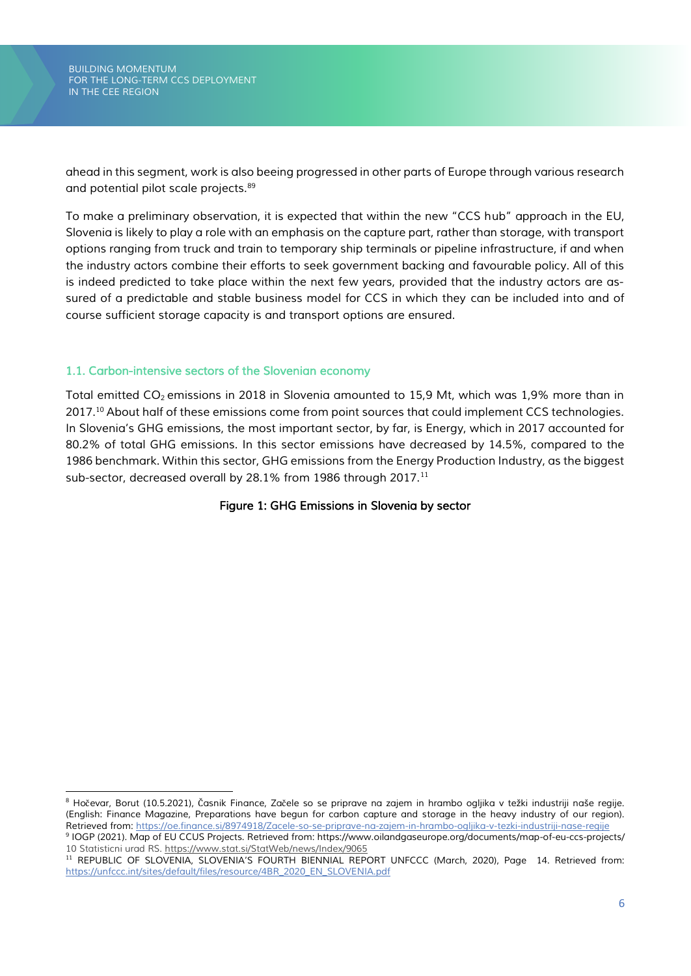*ahead in this segment, work is also beeing progressed in other parts of Europe through various research and potential pilot scale projects.<sup>89</sup>*

*To make a preliminary observation, it is expected that within the new "CCS hub" approach in the EU, Slovenia is likely to play a role with an emphasis on the capture part, rather than storage, with transport options ranging from truck and train to temporary ship terminals or pipeline infrastructure, if and when the industry actors combine their efforts to seek government backing and favourable policy. All of this is indeed predicted to take place within the next few years, provided that the industry actors are assured of a predictable and stable business model for CCS in which they can be included into and of course sufficient storage capacity is and transport options are ensured.*

## <span id="page-6-0"></span>*1.1. Carbon-intensive sectors of the Slovenian economy*

*Total emitted CO<sup>2</sup> emissions in 2018 in Slovenia amounted to 15,9 Mt, which was 1,9% more than in 2017.<sup>10</sup> About half of these emissions come from point sources that could implement CCS technologies. In Slovenia's GHG emissions, the most important sector, by far, is Energy, which in 2017 accounted for 80.2% of total GHG emissions. In this sector emissions have decreased by 14.5%, compared to the 1986 benchmark. Within this sector, GHG emissions from the Energy Production Industry, as the biggest sub-sector, decreased overall by 28.1% from 1986 through 2017.<sup>11</sup>*

#### *Figure 1: GHG Emissions in Slovenia by sector*

*<sup>8</sup> Ho*č*evar, Borut (10.5.2021),* Č*asnik Finance, Za*č*ele so se priprave na zajem in hrambo ogljika v težki industriji naše regije. (English: Finance Magazine, Preparations have begun for carbon capture and storage in the heavy industry of our region). Retrieved from:<https://oe.finance.si/8974918/Zacele-so-se-priprave-na-zajem-in-hrambo-ogljika-v-tezki-industriji-nase-regije>*

*<sup>9</sup> IOGP (2021). Map of EU CCUS Projects. Retrieved from: https://www.oilandgaseurope.org/documents/map-of-eu-ccs-projects/ 10 Statisticni urad RS.<https://www.stat.si/StatWeb/news/Index/9065>*

*<sup>11</sup> REPUBLIC OF SLOVENIA, SLOVENIA'S FOURTH BIENNIAL REPORT UNFCCC (March, 2020), Page 14. Retrieved from: [https://unfccc.int/sites/default/files/resource/4BR\\_2020\\_EN\\_SLOVENIA.pdf](https://unfccc.int/sites/default/files/resource/4BR_2020_EN_SLOVENIA.pdf)*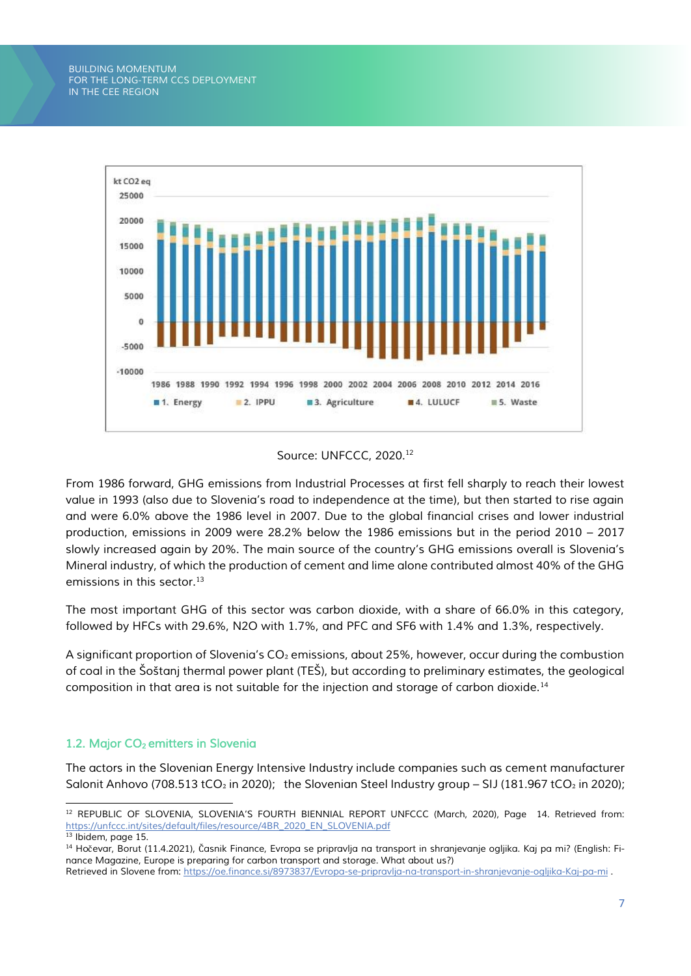

#### *Source: UNFCCC, 2020.<sup>12</sup>*

*From 1986 forward, GHG emissions from Industrial Processes at first fell sharply to reach their lowest value in 1993 (also due to Slovenia's road to independence at the time), but then started to rise again and were 6.0% above the 1986 level in 2007. Due to the global financial crises and lower industrial production, emissions in 2009 were 28.2% below the 1986 emissions but in the period 2010 – 2017 slowly increased again by 20%. The main source of the country's GHG emissions overall is Slovenia's Mineral industry, of which the production of cement and lime alone contributed almost 40% of the GHG emissions in this sector.<sup>13</sup>*

*The most important GHG of this sector was carbon dioxide, with a share of 66.0% in this category, followed by HFCs with 29.6%, N2O with 1.7%, and PFC and SF6 with 1.4% and 1.3%, respectively.* 

*A significant proportion of Slovenia's CO*₂ *emissions, about 25%, however, occur during the combustion of coal in the Šoštanj thermal power plant (TEŠ), but according to preliminary estimates, the geological composition in that area is not suitable for the injection and storage of carbon dioxide.<sup>14</sup>*

## <span id="page-7-0"></span>*1.2. Major CO2 emitters in Slovenia*

*The actors in the Slovenian Energy Intensive Industry include companies such as cement manufacturer Salonit Anhovo (708.513 tCO*<sup>2</sup> in 2020); the Slovenian Steel Industry group – SIJ (181.967 tCO<sup>2</sup> in 2020);

*<sup>12</sup> REPUBLIC OF SLOVENIA, SLOVENIA'S FOURTH BIENNIAL REPORT UNFCCC (March, 2020), Page 14. Retrieved from: [https://unfccc.int/sites/default/files/resource/4BR\\_2020\\_EN\\_SLOVENIA.pdf](https://unfccc.int/sites/default/files/resource/4BR_2020_EN_SLOVENIA.pdf)*

*<sup>13</sup> Ibidem, page 15.*

*<sup>14</sup> Ho*č*evar, Borut (11.4.2021),* Č*asnik Finance, Evropa se pripravlja na transport in shranjevanje ogljika. Kaj pa mi? (English: Finance Magazine, Europe is preparing for carbon transport and storage. What about us?)*

*Retrieved in Slovene from:<https://oe.finance.si/8973837/Evropa-se-pripravlja-na-transport-in-shranjevanje-ogljika-Kaj-pa-mi> .*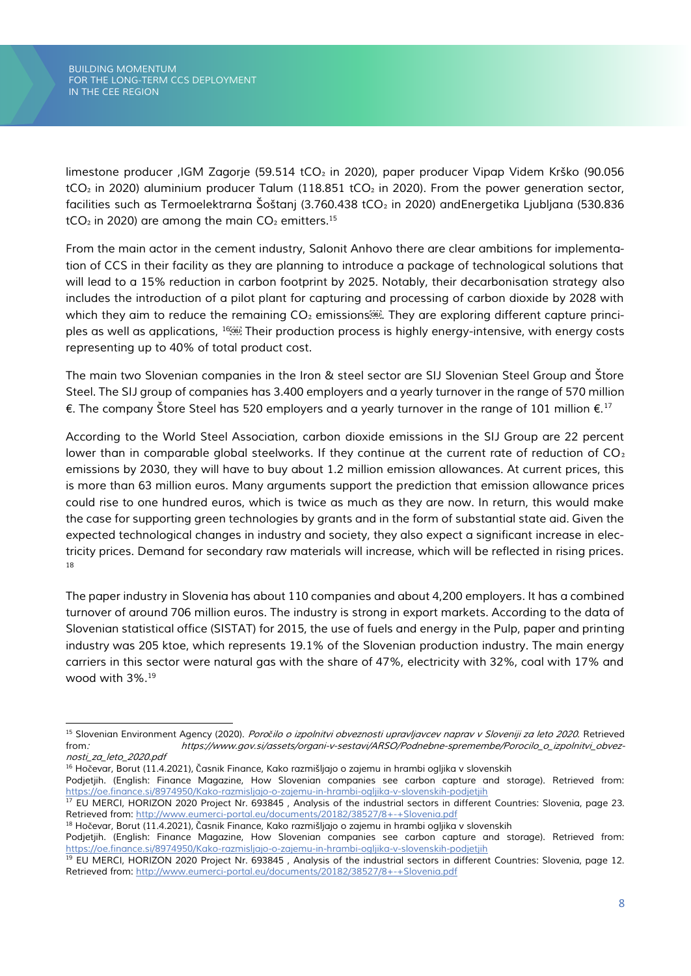*limestone producer ,IGM Zagorje (59.514 tCO*₂ *in 2020), paper producer Vipap Videm Krško (90.056 tCO*₂ *in 2020) aluminium producer Talum (118.851 tCO*₂ *in 2020). From the power generation sector, facilities such as Termoelektrarna Šoštanj (3.760.438 tCO*₂ *in 2020) andEnergetika Ljubljana (530.836 tCO*₂ *in 2020) are among the main CO*₂ *emitters.<sup>15</sup>*

*From the main actor in the cement industry, Salonit Anhovo there are clear ambitions for implementation of CCS in their facility as they are planning to introduce a package of technological solutions that will lead to a 15% reduction in carbon footprint by 2025. Notably, their decarbonisation strategy also includes the introduction of a pilot plant for capturing and processing of carbon dioxide by 2028 with which they aim to reduce the remaining CO*<sup>2</sup> *emissions . They are exploring different capture principles as well as applications, <sup>16</sup> Their production process is highly energy-intensive, with energy costs representing up to 40% of total product cost.*

*The main two Slovenian companies in the Iron & steel sector are SIJ Slovenian Steel Group and Štore Steel. The SIJ group of companies has 3.400 employers and a yearly turnover in the range of 570 million €. The company Štore Steel has 520 employers and a yearly turnover in the range of 101 million €.<sup>17</sup>*

*According to the World Steel Association, carbon dioxide emissions in the SIJ Group are 22 percent lower than in comparable global steelworks. If they continue at the current rate of reduction of CO*<sup>2</sup> *emissions by 2030, they will have to buy about 1.2 million emission allowances. At current prices, this is more than 63 million euros. Many arguments support the prediction that emission allowance prices could rise to one hundred euros, which is twice as much as they are now. In return, this would make the case for supporting green technologies by grants and in the form of substantial state aid. Given the expected technological changes in industry and society, they also expect a significant increase in electricity prices. Demand for secondary raw materials will increase, which will be reflected in rising prices. 18*

*The paper industry in Slovenia has about 110 companies and about 4,200 employers. It has a combined turnover of around 706 million euros. The industry is strong in export markets. According to the data of Slovenian statistical office (SISTAT) for 2015, the use of fuels and energy in the Pulp, paper and printing industry was 205 ktoe, which represents 19.1% of the Slovenian production industry. The main energy carriers in this sector were natural gas with the share of 47%, electricity with 32%, coal with 17% and wood with 3%.<sup>19</sup>*

*<sup>15</sup> Slovenian Environment Agency (2020). Poročilo o izpolnitvi obveznosti upravljavcev naprav v Sloveniji za leto 2020. Retrieved from: https://www.gov.si/assets/organi-v-sestavi/ARSO/Podnebne-spremembe/Porocilo\_o\_izpolnitvi\_obveznosti\_za\_leto\_2020.pdf*

*<sup>16</sup> Ho*č*evar, Borut (11.4.2021),* Č*asnik Finance, Kako razmišljajo o zajemu in hrambi ogljika v slovenskih*

Podjetjih. (English: Finance Magazine, How Slovenian companies see carbon capture and storage). Retrieved from: *<https://oe.finance.si/8974950/Kako-razmisljajo-o-zajemu-in-hrambi-ogljika-v-slovenskih-podjetjih>*

*<sup>17</sup> EU MERCI, HORIZON 2020 Project Nr. 693845 , Analysis of the industrial sectors in different Countries: Slovenia, page 23. Retrieved from:<http://www.eumerci-portal.eu/documents/20182/38527/8+-+Slovenia.pdf>*

*<sup>18</sup> Ho*č*evar, Borut (11.4.2021),* Č*asnik Finance, Kako razmišljajo o zajemu in hrambi ogljika v slovenskih*

Podjetjih. (English: Finance Magazine, How Slovenian companies see carbon capture and storage). Retrieved from: *<https://oe.finance.si/8974950/Kako-razmisljajo-o-zajemu-in-hrambi-ogljika-v-slovenskih-podjetjih>*

*<sup>19</sup> EU MERCI, HORIZON 2020 Project Nr. 693845 , Analysis of the industrial sectors in different Countries: Slovenia, page 12. Retrieved from:<http://www.eumerci-portal.eu/documents/20182/38527/8+-+Slovenia.pdf>*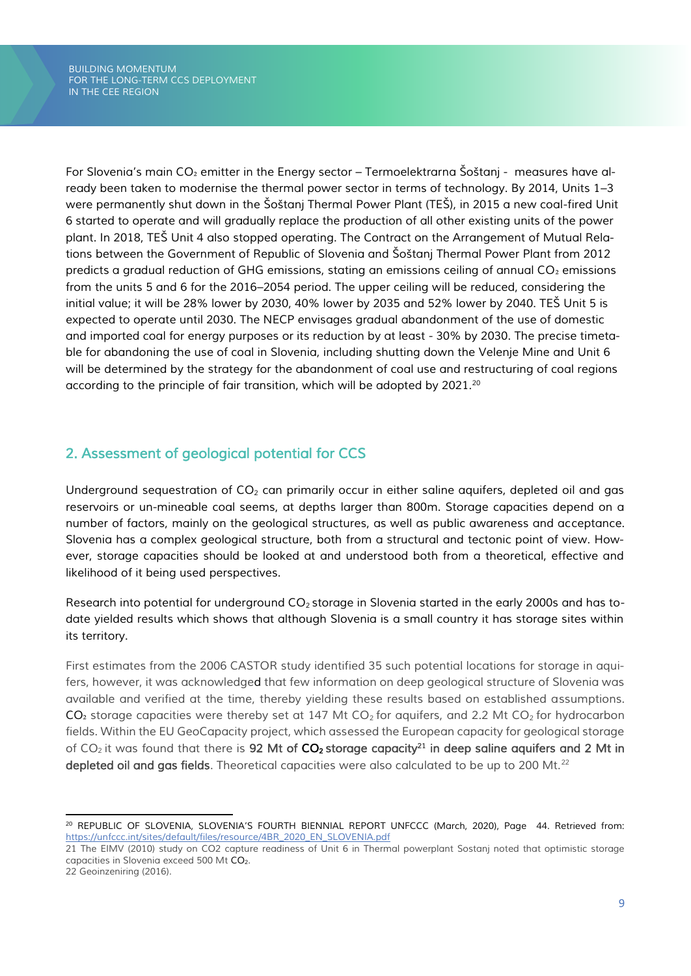*For Slovenia's main CO*₂ *emitter in the Energy sector – Termoelektrarna Šoštanj - measures have already been taken to modernise the thermal power sector in terms of technology. By 2014, Units 1–3 were permanently shut down in the Šoštanj Thermal Power Plant (TEŠ), in 2015 a new coal-fired Unit 6 started to operate and will gradually replace the production of all other existing units of the power plant. In 2018, TEŠ Unit 4 also stopped operating. The Contract on the Arrangement of Mutual Relations between the Government of Republic of Slovenia and Šoštanj Thermal Power Plant from 2012 predicts a gradual reduction of GHG emissions, stating an emissions ceiling of annual CO*₂ *emissions from the units 5 and 6 for the 2016–2054 period. The upper ceiling will be reduced, considering the initial value; it will be 28% lower by 2030, 40% lower by 2035 and 52% lower by 2040. TEŠ Unit 5 is expected to operate until 2030. The NECP envisages gradual abandonment of the use of domestic and imported coal for energy purposes or its reduction by at least - 30% by 2030. The precise timetable for abandoning the use of coal in Slovenia, including shutting down the Velenje Mine and Unit 6 will be determined by the strategy for the abandonment of coal use and restructuring of coal regions according to the principle of fair transition, which will be adopted by 2021.<sup>20</sup>*

## <span id="page-9-0"></span>*2. Assessment of geological potential for CCS*

*Underground sequestration of CO<sup>2</sup> can primarily occur in either saline aquifers, depleted oil and gas reservoirs or un-mineable coal seems, at depths larger than 800m. Storage capacities depend on a number of factors, mainly on the geological structures, as well as public awareness and acceptance. Slovenia has a complex geological structure, both from a structural and tectonic point of view. However, storage capacities should be looked at and understood both from a theoretical, effective and likelihood of it being used perspectives.*

*Research into potential for underground CO2 storage in Slovenia started in the early 2000s and has todate yielded results which shows that although Slovenia is a small country it has storage sites within its territory.* 

*First estimates from the 2006 CASTOR study identified 35 such potential locations for storage in aquifers, however, it was acknowledged that few information on deep geological structure of Slovenia was available and verified at the time, thereby yielding these results based on established assumptions. CO*₂ *storage capacities were thereby set at 147 Mt CO<sup>2</sup> for aquifers, and 2.2 Mt CO<sup>2</sup> for hydrocarbon fields. Within the EU GeoCapacity project, which assessed the European capacity for geological storage of CO<sup>2</sup> it was found that there is 92 Mt of CO2 storage capacity<sup>21</sup> in deep saline aquifers and 2 Mt in depleted oil and gas fields. Theoretical capacities were also calculated to be up to 200 Mt.<sup>22</sup>*

*<sup>20</sup> REPUBLIC OF SLOVENIA, SLOVENIA'S FOURTH BIENNIAL REPORT UNFCCC (March, 2020), Page 44. Retrieved from: [https://unfccc.int/sites/default/files/resource/4BR\\_2020\\_EN\\_SLOVENIA.pdf](https://unfccc.int/sites/default/files/resource/4BR_2020_EN_SLOVENIA.pdf)*

*<sup>21</sup> The EIMV (2010) study on CO2 capture readiness of Unit 6 in Thermal powerplant Sostanj noted that optimistic storage capacities in Slovenia exceed 500 Mt CO2.* 

*<sup>22</sup> Geoinzeniring (2016).*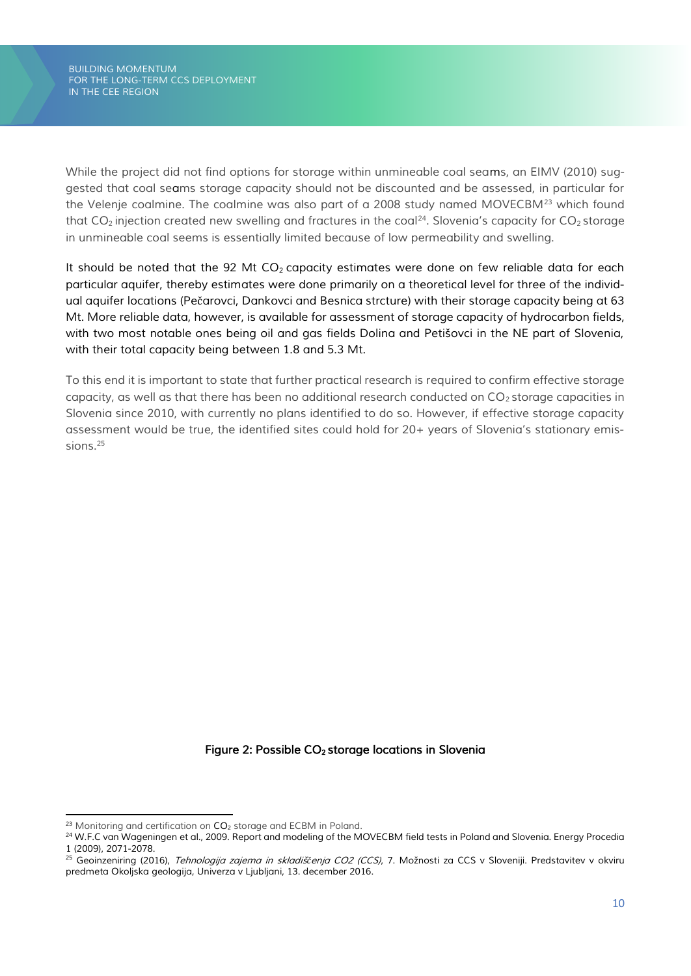*While the project did not find options for storage within unmineable coal seams, an EIMV (2010) suggested that coal seams storage capacity should not be discounted and be assessed, in particular for the Velenje coalmine. The coalmine was also part of a 2008 study named MOVECBM<sup>23</sup> which found that CO<sup>2</sup> injection created new swelling and fractures in the coal<sup>24</sup> . Slovenia's capacity for CO<sup>2</sup> storage in unmineable coal seems is essentially limited because of low permeability and swelling.*

*It should be noted that the 92 Mt CO<sup>2</sup> capacity estimates were done on few reliable data for each particular aquifer, thereby estimates were done primarily on a theoretical level for three of the individual aquifer locations (Pe*č*arovci, Dankovci and Besnica strcture) with their storage capacity being at 63 Mt. More reliable data, however, is available for assessment of storage capacity of hydrocarbon fields, with two most notable ones being oil and gas fields Dolina and Petišovci in the NE part of Slovenia, with their total capacity being between 1.8 and 5.3 Mt.* 

*To this end it is important to state that further practical research is required to confirm effective storage capacity, as well as that there has been no additional research conducted on*  $CO<sub>2</sub>$  *storage capacities in Slovenia since 2010, with currently no plans identified to do so. However, if effective storage capacity assessment would be true, the identified sites could hold for 20+ years of Slovenia's stationary emissions.<sup>25</sup>*

## *Figure 2: Possible CO2 storage locations in Slovenia*

*<sup>23</sup> Monitoring and certification on CO<sup>2</sup> storage and ECBM in Poland.*

*<sup>24</sup> W.F.C van Wageningen et al., 2009. Report and modeling of the MOVECBM field tests in Poland and Slovenia. Energy Procedia 1 (2009), 2071-2078.* 

*<sup>25</sup> Geoinzeniring (2016), Tehnologija zajema in skladiščenja CO2 (CCS), 7. Možnosti za CCS v Sloveniji. Predstavitev v okviru predmeta Okoljska geologija, Univerza v Ljubljani, 13. december 2016.*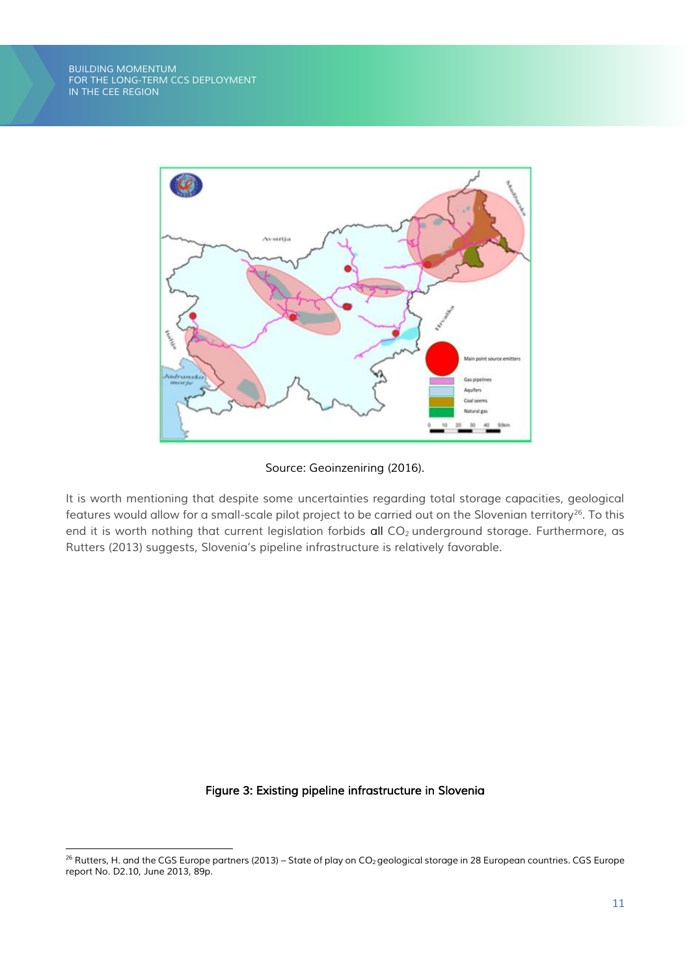

#### *Source: Geoinzeniring (2016).*

*It is worth mentioning that despite some uncertainties regarding total storage capacities, geological features would allow for a small-scale pilot project to be carried out on the Slovenian territory<sup>26</sup>. To this end it is worth nothing that current legislation forbids all CO<sup>2</sup> underground storage. Furthermore, as Rutters (2013) suggests, Slovenia's pipeline infrastructure is relatively favorable.* 

#### *Figure 3: Existing pipeline infrastructure in Slovenia*

<sup>&</sup>lt;sup>26</sup> Rutters, H. and the CGS Europe partners (2013) – State of play on CO<sub>2</sub> geological storage in 28 European countries. CGS Europe *report No. D2.10, June 2013, 89p.*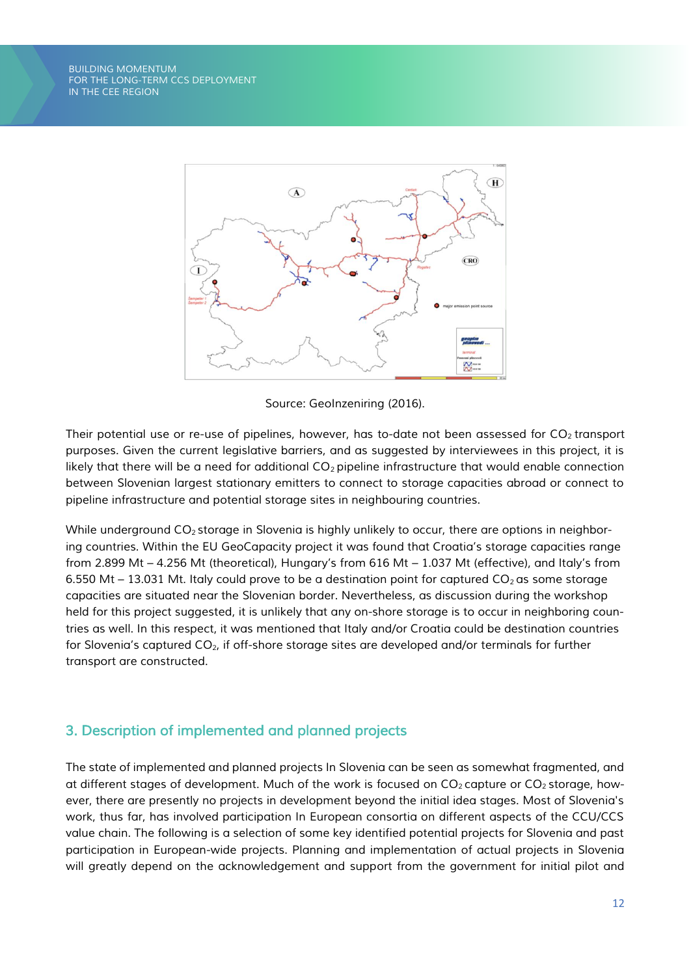

*Source: GeoInzeniring (2016).*

*Their potential use or re-use of pipelines, however, has to-date not been assessed for CO<sup>2</sup> transport purposes. Given the current legislative barriers, and as suggested by interviewees in this project, it is likely that there will be a need for additional CO<sup>2</sup> pipeline infrastructure that would enable connection between Slovenian largest stationary emitters to connect to storage capacities abroad or connect to pipeline infrastructure and potential storage sites in neighbouring countries.* 

*While underground CO<sup>2</sup> storage in Slovenia is highly unlikely to occur, there are options in neighboring countries. Within the EU GeoCapacity project it was found that Croatia's storage capacities range from 2.899 Mt – 4.256 Mt (theoretical), Hungary's from 616 Mt – 1.037 Mt (effective), and Italy's from 6.550 Mt – 13.031 Mt. Italy could prove to be a destination point for captured CO<sup>2</sup> as some storage capacities are situated near the Slovenian border. Nevertheless, as discussion during the workshop held for this project suggested, it is unlikely that any on-shore storage is to occur in neighboring countries as well. In this respect, it was mentioned that Italy and/or Croatia could be destination countries for Slovenia's captured CO2, if off-shore storage sites are developed and/or terminals for further transport are constructed.* 

## <span id="page-12-0"></span>*3. Description of implemented and planned projects*

*The state of implemented and planned projects In Slovenia can be seen as somewhat fragmented, and at different stages of development. Much of the work is focused on CO<sup>2</sup> capture or CO<sup>2</sup> storage, however, there are presently no projects in development beyond the initial idea stages. Most of Slovenia's work, thus far, has involved participation In European consortia on different aspects of the CCU/CCS value chain. The following is a selection of some key identified potential projects for Slovenia and past participation in European-wide projects. Planning and implementation of actual projects in Slovenia*  will greatly depend on the acknowledgement and support from the government for initial pilot and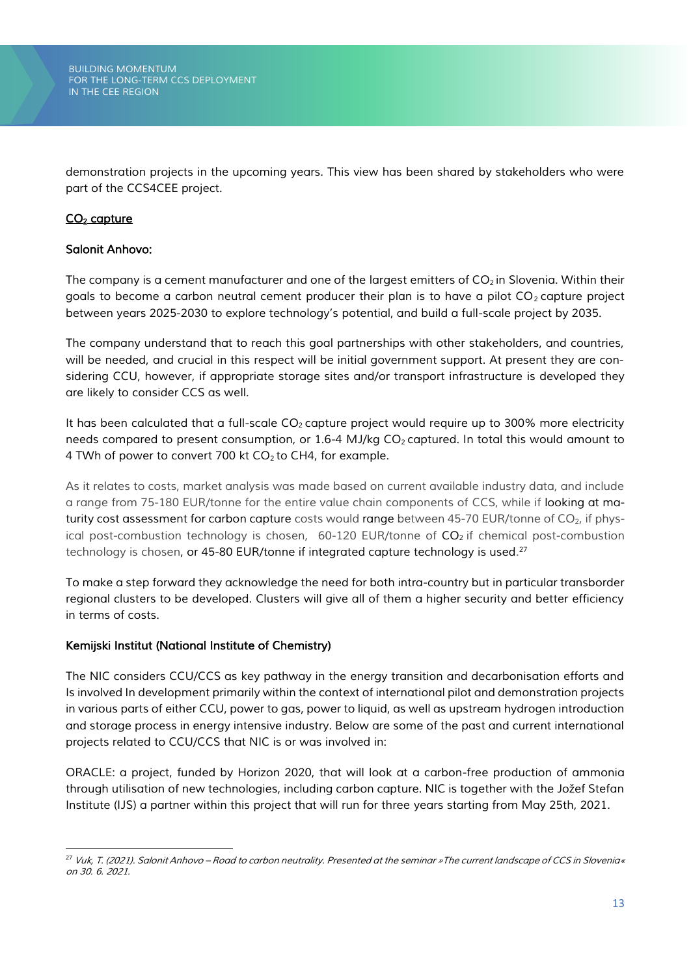*demonstration projects in the upcoming years. This view has been shared by stakeholders who were part of the CCS4CEE project.*

## *CO<sup>2</sup> capture*

#### *Salonit Anhovo:*

*The company is a cement manufacturer and one of the largest emitters of CO<sup>2</sup> in Slovenia. Within their goals to become a carbon neutral cement producer their plan is to have a pilot CO<sup>2</sup> capture project between years 2025-2030 to explore technology's potential, and build a full-scale project by 2035.* 

*The company understand that to reach this goal partnerships with other stakeholders, and countries, will be needed, and crucial in this respect will be initial government support. At present they are considering CCU, however, if appropriate storage sites and/or transport infrastructure is developed they are likely to consider CCS as well.* 

*It has been calculated that a full-scale CO<sup>2</sup> capture project would require up to 300% more electricity needs compared to present consumption, or 1.6-4 MJ/kg CO<sup>2</sup> captured. In total this would amount to 4 TWh of power to convert 700 kt CO<sup>2</sup> to CH4, for example.* 

*As it relates to costs, market analysis was made based on current available industry data, and include a range from 75-180 EUR/tonne for the entire value chain components of CCS, while if looking at maturity cost assessment for carbon capture costs would range between 45-70 EUR/tonne of CO<sub>2</sub>, if physical post-combustion technology is chosen, 60-120 EUR/tonne of CO<sub>2</sub> if chemical post-combustion technology is chosen, or 45-80 EUR/tonne if integrated capture technology is used. 27*

*To make a step forward they acknowledge the need for both intra-country but in particular transborder regional clusters to be developed. Clusters will give all of them a higher security and better efficiency in terms of costs.* 

## *Kemijski Institut (National Institute of Chemistry)*

*The NIC considers CCU/CCS as key pathway in the energy transition and decarbonisation efforts and Is involved In development primarily within the context of international pilot and demonstration projects in various parts of either CCU, power to gas, power to liquid, as well as upstream hydrogen introduction and storage process in energy intensive industry. Below are some of the past and current international projects related to CCU/CCS that NIC is or was involved in:* 

*ORACLE: a project, funded by Horizon 2020, that will look at a carbon-free production of ammonia through utilisation of new technologies, including carbon capture. NIC is together with the Jožef Stefan Institute (IJS) a partner within this project that will run for three years starting from May 25th, 2021.* 

*<sup>27</sup> Vuk, T. (2021). Salonit Anhovo – Road to carbon neutrality. Presented at the seminar »The current landscape of CCS in Slovenia« on 30. 6. 2021.*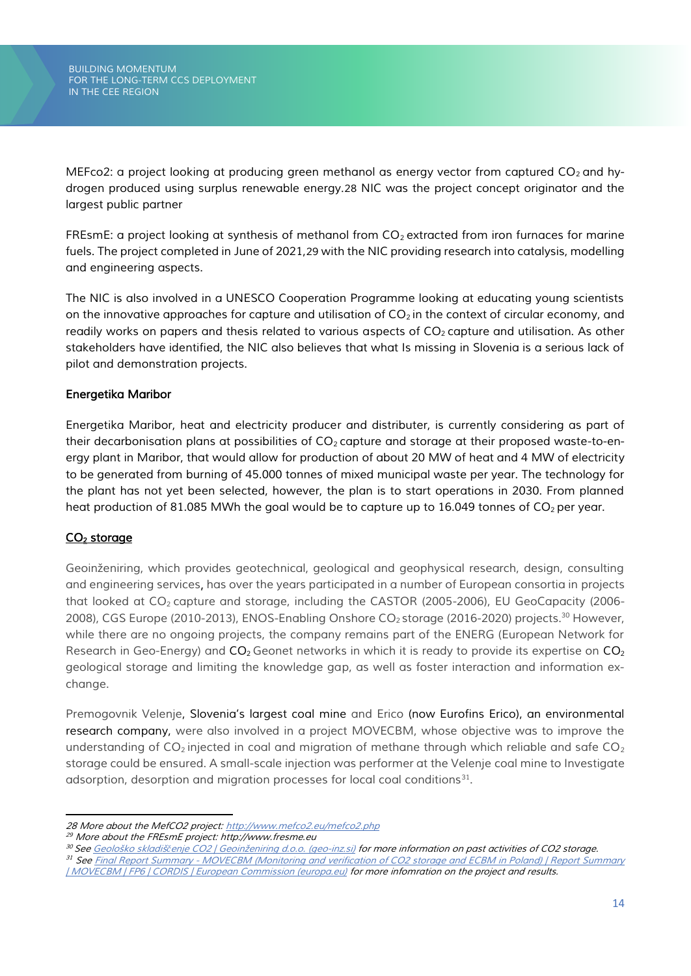*MEFco2: a project looking at producing green methanol as energy vector from captured CO<sub>2</sub> and hydrogen produced using surplus renewable energy.28 NIC was the project concept originator and the largest public partner*

*FREsmE: a project looking at synthesis of methanol from CO<sup>2</sup> extracted from iron furnaces for marine fuels. The project completed in June of 2021,29 with the NIC providing research into catalysis, modelling and engineering aspects.*

*The NIC is also involved in a UNESCO Cooperation Programme looking at educating young scientists on the innovative approaches for capture and utilisation of CO<sup>2</sup> in the context of circular economy, and readily works on papers and thesis related to various aspects of*  $CO<sub>2</sub>$  *<i>capture and utilisation. As other stakeholders have identified, the NIC also believes that what Is missing in Slovenia is a serious lack of pilot and demonstration projects.* 

## *Energetika Maribor*

*Energetika Maribor, heat and electricity producer and distributer, is currently considering as part of their decarbonisation plans at possibilities of CO<sup>2</sup> capture and storage at their proposed waste-to-energy plant in Maribor, that would allow for production of about 20 MW of heat and 4 MW of electricity to be generated from burning of 45.000 tonnes of mixed municipal waste per year. The technology for the plant has not yet been selected, however, the plan is to start operations in 2030. From planned heat production of 81.085 MWh the goal would be to capture up to 16.049 tonnes of CO<sub>2</sub> per year.* 

## *CO<sup>2</sup> storage*

*Geoinženiring, which provides geotechnical, geological and geophysical research, design, consulting and engineering services, has over the years participated in a number of European consortia in projects that looked at CO<sup>2</sup> capture and storage, including the CASTOR (2005-2006), EU GeoCapacity (2006- 2008), CGS Europe (2010-2013), ENOS-Enabling Onshore CO<sup>2</sup> storage (2016-2020) projects.<sup>30</sup> However, while there are no ongoing projects, the company remains part of the ENERG (European Network for Research in Geo-Energy) and CO2Geonet networks in which it is ready to provide its expertise on CO<sup>2</sup> geological storage and limiting the knowledge gap, as well as foster interaction and information exchange.* 

*Premogovnik Velenje, Slovenia's largest coal mine and Erico (now Eurofins Erico), an environmental research company, were also involved in a project MOVECBM, whose objective was to improve the understanding of CO<sup>2</sup> injected in coal and migration of methane through which reliable and safe CO<sup>2</sup> storage could be ensured. A small-scale injection was performer at the Velenje coal mine to Investigate adsorption, desorption and migration processes for local coal conditions<sup>31</sup> .*

*<sup>28</sup> More about the MefCO2 project[: http://www.mefco2.eu/mefco2.php](http://www.mefco2.eu/mefco2.php)* 

*<sup>29</sup> More about the FREsmE project: http://www.fresme.eu*

*<sup>30</sup> See Geološko skladišč[enje CO2 | Geoinženiring d.o.o. \(geo](http://www.geo-inz.si/dejavnosti/geolosko-skladiscenje-co2)-inz.si) for more information on past activities of CO2 storage.*

*<sup>31</sup> See Final Report Summary - [MOVECBM \(Monitoring and verification of CO2 storage and ECBM in Poland\) | Report Summary](https://cordis.europa.eu/project/id/38967/reporting)  [| MOVECBM | FP6 | CORDIS | European Commission \(europa.eu\)](https://cordis.europa.eu/project/id/38967/reporting) for more infomration on the project and results.*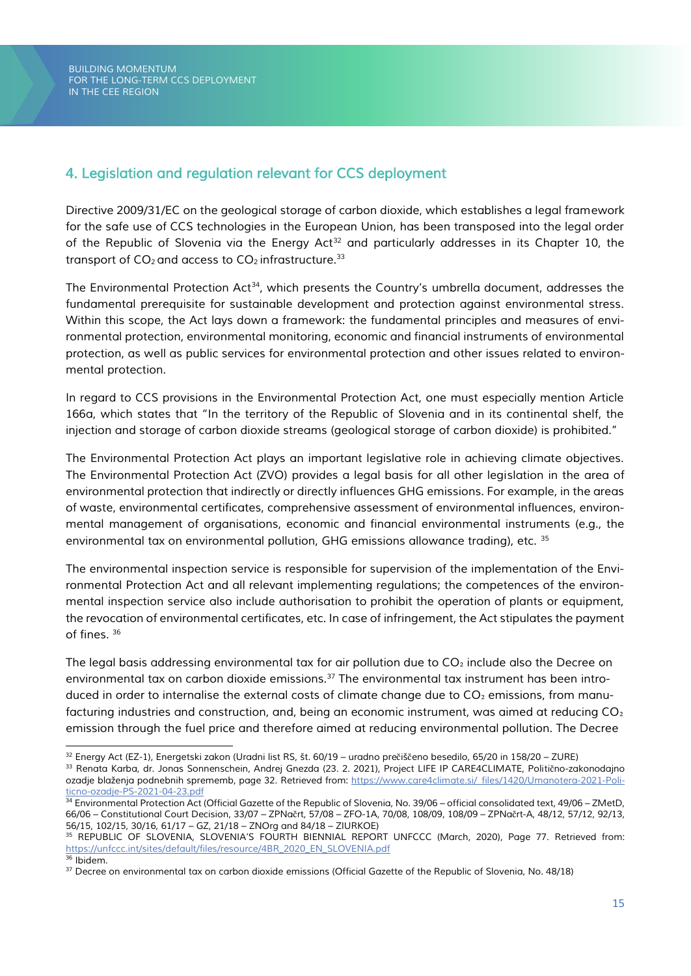## <span id="page-15-0"></span>*4. Legislation and regulation relevant for CCS deployment*

*Directive 2009/31/EC on the geological storage of carbon dioxide, which establishes a legal framework for the safe use of CCS technologies in the European Union, has been transposed into the legal order of the Republic of Slovenia via the Energy Act<sup>32</sup> and particularly addresses in its Chapter 10, the transport of CO<sup>2</sup> and access to CO<sup>2</sup> infrastructure.<sup>33</sup>*

*The Environmental Protection Act<sup>34</sup>, which presents the Country's umbrella document, addresses the fundamental prerequisite for sustainable development and protection against environmental stress. Within this scope, the Act lays down a framework: the fundamental principles and measures of environmental protection, environmental monitoring, economic and financial instruments of environmental protection, as well as public services for environmental protection and other issues related to environmental protection.* 

*In regard to CCS provisions in the Environmental Protection Act, one must especially mention Article 166a, which states that "In the territory of the Republic of Slovenia and in its continental shelf, the injection and storage of carbon dioxide streams (geological storage of carbon dioxide) is prohibited."*

*The Environmental Protection Act plays an important legislative role in achieving climate objectives. The Environmental Protection Act (ZVO) provides a legal basis for all other legislation in the area of environmental protection that indirectly or directly influences GHG emissions. For example, in the areas of waste, environmental certificates, comprehensive assessment of environmental influences, environmental management of organisations, economic and financial environmental instruments (e.g., the environmental tax on environmental pollution, GHG emissions allowance trading), etc. <sup>35</sup>*

*The environmental inspection service is responsible for supervision of the implementation of the Environmental Protection Act and all relevant implementing regulations; the competences of the environmental inspection service also include authorisation to prohibit the operation of plants or equipment, the revocation of environmental certificates, etc. In case of infringement, the Act stipulates the payment of fines. <sup>36</sup>*

*The legal basis addressing environmental tax for air pollution due to CO*<sup>2</sup> *include also the Decree on environmental tax on carbon dioxide emissions.<sup>37</sup> The environmental tax instrument has been intro*duced in order to internalise the external costs of climate change due to  $CO<sub>2</sub>$  emissions, from manufacturing industries and construction, and, being an economic instrument, was aimed at reducing CO<sub>2</sub> *emission through the fuel price and therefore aimed at reducing environmental pollution. The Decree* 

*<sup>32</sup> Energy Act (EZ-1), Energetski zakon (Uradni list RS, št. 60/19 – uradno pre*č*iš*č*eno besedilo, 65/20 in 158/20 – ZURE)*

*<sup>33</sup> Renata Karba, dr. Jonas Sonnenschein, Andrej Gnezda (23. 2. 2021), Project LIFE IP CARE4CLIMATE, Politi*č*no-zakonodajno ozadje blaženja podnebnih sprememb, page 32. Retrieved from[: https://www.care4climate.si/\\_files/1420/Umanotera-2021-Poli](https://www.care4climate.si/_files/1420/Umanotera-2021-Politicno-ozadje-PS-2021-04-23.pdf)[ticno-ozadje-PS-2021-04-23.pdf](https://www.care4climate.si/_files/1420/Umanotera-2021-Politicno-ozadje-PS-2021-04-23.pdf)*

<sup>&</sup>lt;sup>34</sup> Environmental Protection Act (Official Gazette of the Republic of Slovenia, No. 39/06 – official consolidated text, 49/06 – ZMetD, *66/06 – Constitutional Court Decision, 33/07 – ZPNa*č*rt, 57/08 – ZFO-1A, 70/08, 108/09, 108/09 – ZPNa*č*rt-A, 48/12, 57/12, 92/13, 56/15, 102/15, 30/16, 61/17 – GZ, 21/18 – ZNOrg and 84/18 – ZIURKOE)*

*<sup>35</sup> REPUBLIC OF SLOVENIA, SLOVENIA'S FOURTH BIENNIAL REPORT UNFCCC (March, 2020), Page 77. Retrieved from: [https://unfccc.int/sites/default/files/resource/4BR\\_2020\\_EN\\_SLOVENIA.pdf](https://unfccc.int/sites/default/files/resource/4BR_2020_EN_SLOVENIA.pdf) <sup>36</sup> Ibidem.* 

*<sup>37</sup> Decree on environmental tax on carbon dioxide emissions (Official Gazette of the Republic of Slovenia, No. 48/18)*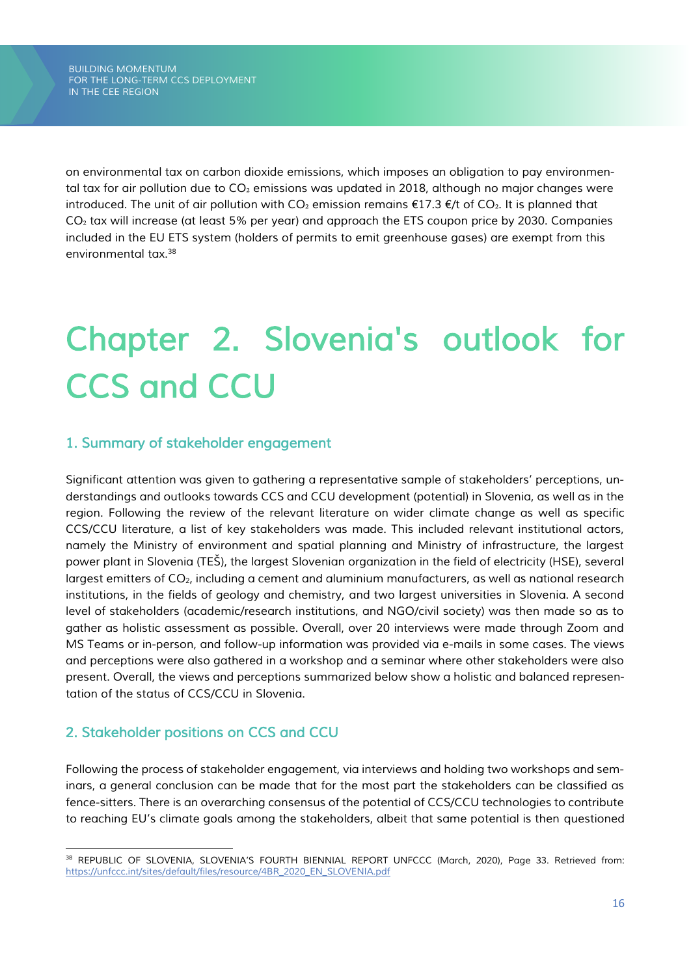*on environmental tax on carbon dioxide emissions, which imposes an obligation to pay environmental tax for air pollution due to CO*<sup>2</sup> *emissions was updated in 2018, although no major changes were introduced. The unit of air pollution with CO*<sub>2</sub> *emission remains* €17.3 €/t of CO<sub>2</sub>. It is planned that *CO*₂ *tax will increase (at least 5% per year) and approach the ETS coupon price by 2030. Companies included in the EU ETS system (holders of permits to emit greenhouse gases) are exempt from this environmental tax.<sup>38</sup>*

# <span id="page-16-0"></span>*Chapter 2. Slovenia's outlook for CCS and CCU*

## <span id="page-16-1"></span>*1. Summary of stakeholder engagement*

*Significant attention was given to gathering a representative sample of stakeholders' perceptions, understandings and outlooks towards CCS and CCU development (potential) in Slovenia, as well as in the region. Following the review of the relevant literature on wider climate change as well as specific CCS/CCU literature, a list of key stakeholders was made. This included relevant institutional actors, namely the Ministry of environment and spatial planning and Ministry of infrastructure, the largest power plant in Slovenia (TEŠ), the largest Slovenian organization in the field of electricity (HSE), several largest emitters of CO2, including a cement and aluminium manufacturers, as well as national research institutions, in the fields of geology and chemistry, and two largest universities in Slovenia. A second level of stakeholders (academic/research institutions, and NGO/civil society) was then made so as to gather as holistic assessment as possible. Overall, over 20 interviews were made through Zoom and MS Teams or in-person, and follow-up information was provided via e-mails in some cases. The views and perceptions were also gathered in a workshop and a seminar where other stakeholders were also present. Overall, the views and perceptions summarized below show a holistic and balanced representation of the status of CCS/CCU in Slovenia.* 

## <span id="page-16-2"></span>*2. Stakeholder positions on CCS and CCU*

*Following the process of stakeholder engagement, via interviews and holding two workshops and seminars, a general conclusion can be made that for the most part the stakeholders can be classified as fence-sitters. There is an overarching consensus of the potential of CCS/CCU technologies to contribute to reaching EU's climate goals among the stakeholders, albeit that same potential is then questioned* 

*<sup>38</sup> REPUBLIC OF SLOVENIA, SLOVENIA'S FOURTH BIENNIAL REPORT UNFCCC (March, 2020), Page 33. Retrieved from: [https://unfccc.int/sites/default/files/resource/4BR\\_2020\\_EN\\_SLOVENIA.pdf](https://unfccc.int/sites/default/files/resource/4BR_2020_EN_SLOVENIA.pdf)*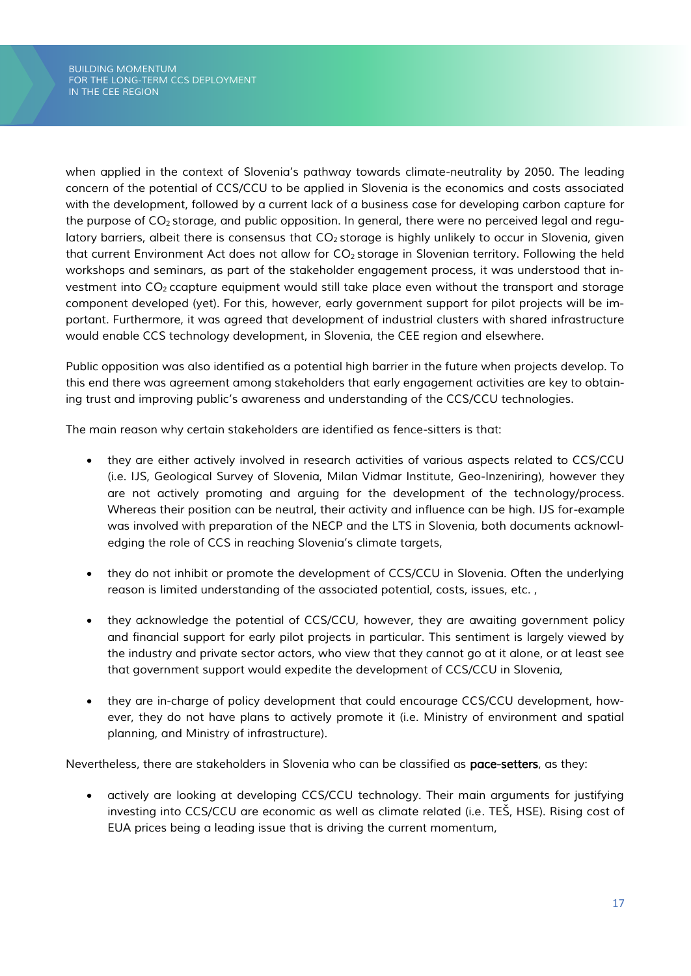*when applied in the context of Slovenia's pathway towards climate-neutrality by 2050. The leading concern of the potential of CCS/CCU to be applied in Slovenia is the economics and costs associated with the development, followed by a current lack of a business case for developing carbon capture for the purpose of CO<sup>2</sup> storage, and public opposition. In general, there were no perceived legal and regulatory barriers, albeit there is consensus that CO<sub>2</sub> storage is highly unlikely to occur in Slovenia, given that current Environment Act does not allow for CO<sup>2</sup> storage in Slovenian territory. Following the held workshops and seminars, as part of the stakeholder engagement process, it was understood that investment into CO<sup>2</sup> ccapture equipment would still take place even without the transport and storage component developed (yet). For this, however, early government support for pilot projects will be important. Furthermore, it was agreed that development of industrial clusters with shared infrastructure would enable CCS technology development, in Slovenia, the CEE region and elsewhere.* 

*Public opposition was also identified as a potential high barrier in the future when projects develop. To this end there was agreement among stakeholders that early engagement activities are key to obtaining trust and improving public's awareness and understanding of the CCS/CCU technologies.* 

*The main reason why certain stakeholders are identified as fence-sitters is that:*

- *they are either actively involved in research activities of various aspects related to CCS/CCU (i.e. IJS, Geological Survey of Slovenia, Milan Vidmar Institute, Geo-Inzeniring), however they are not actively promoting and arguing for the development of the technology/process. Whereas their position can be neutral, their activity and influence can be high. IJS for-example was involved with preparation of the NECP and the LTS in Slovenia, both documents acknowledging the role of CCS in reaching Slovenia's climate targets,*
- *they do not inhibit or promote the development of CCS/CCU in Slovenia. Often the underlying reason is limited understanding of the associated potential, costs, issues, etc. ,*
- *they acknowledge the potential of CCS/CCU, however, they are awaiting government policy and financial support for early pilot projects in particular. This sentiment is largely viewed by the industry and private sector actors, who view that they cannot go at it alone, or at least see that government support would expedite the development of CCS/CCU in Slovenia,*
- *they are in-charge of policy development that could encourage CCS/CCU development, however, they do not have plans to actively promote it (i.e. Ministry of environment and spatial planning, and Ministry of infrastructure).*

*Nevertheless, there are stakeholders in Slovenia who can be classified as pace-setters, as they:*

• *actively are looking at developing CCS/CCU technology. Their main arguments for justifying investing into CCS/CCU are economic as well as climate related (i.e. TEŠ, HSE). Rising cost of EUA prices being a leading issue that is driving the current momentum,*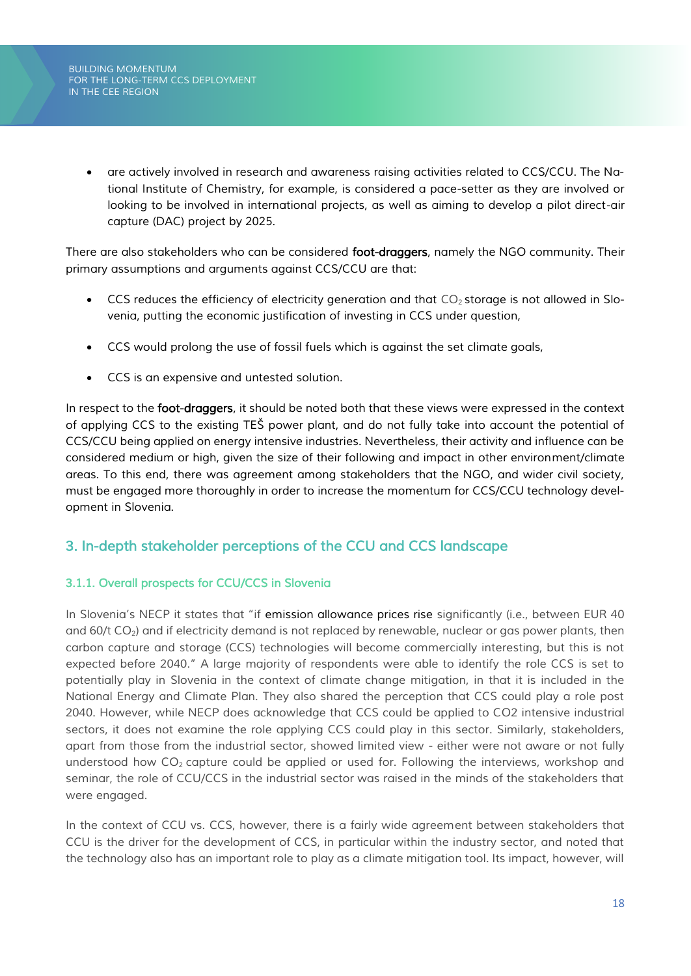• *are actively involved in research and awareness raising activities related to CCS/CCU. The National Institute of Chemistry, for example, is considered a pace-setter as they are involved or looking to be involved in international projects, as well as aiming to develop a pilot direct-air capture (DAC) project by 2025.* 

*There are also stakeholders who can be considered foot-draggers, namely the NGO community. Their primary assumptions and arguments against CCS/CCU are that:*

- CCS reduces the efficiency of electricity generation and that CO<sub>2</sub> storage is not allowed in Slo*venia, putting the economic justification of investing in CCS under question,*
- *CCS would prolong the use of fossil fuels which is against the set climate goals,*
- *CCS is an expensive and untested solution.*

*In respect to the foot-draggers, it should be noted both that these views were expressed in the context of applying CCS to the existing TEŠ power plant, and do not fully take into account the potential of CCS/CCU being applied on energy intensive industries. Nevertheless, their activity and influence can be considered medium or high, given the size of their following and impact in other environment/climate areas. To this end, there was agreement among stakeholders that the NGO, and wider civil society, must be engaged more thoroughly in order to increase the momentum for CCS/CCU technology development in Slovenia.* 

## <span id="page-18-0"></span>*3. In-depth stakeholder perceptions of the CCU and CCS landscape*

## <span id="page-18-1"></span>*3.1.1. Overall prospects for CCU/CCS in Slovenia*

*In Slovenia's NECP it states that "if emission allowance prices rise significantly (i.e., between EUR 40 and 60/t CO2) and if electricity demand is not replaced by renewable, nuclear or gas power plants, then carbon capture and storage (CCS) technologies will become commercially interesting, but this is not expected before 2040." A large majority of respondents were able to identify the role CCS is set to potentially play in Slovenia in the context of climate change mitigation, in that it is included in the National Energy and Climate Plan. They also shared the perception that CCS could play a role post 2040. However, while NECP does acknowledge that CCS could be applied to CO2 intensive industrial sectors, it does not examine the role applying CCS could play in this sector. Similarly, stakeholders, apart from those from the industrial sector, showed limited view - either were not aware or not fully understood how CO<sup>2</sup> capture could be applied or used for. Following the interviews, workshop and seminar, the role of CCU/CCS in the industrial sector was raised in the minds of the stakeholders that were engaged.* 

In the context of CCU vs. CCS, however, there is a fairly wide agreement between stakeholders that *CCU is the driver for the development of CCS, in particular within the industry sector, and noted that the technology also has an important role to play as a climate mitigation tool. Its impact, however, will*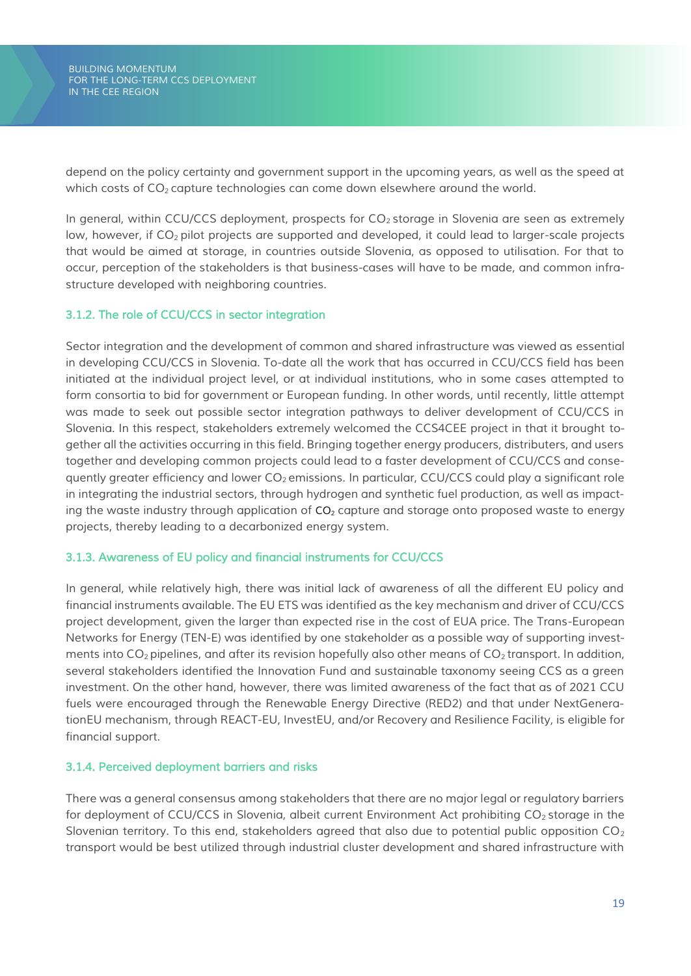*BUILDING MOMENTUM FOR THE LONG-TERM CCS DEPLOYMENT IN THE CEE REGION*

*depend on the policy certainty and government support in the upcoming years, as well as the speed at which costs of CO<sup>2</sup> capture technologies can come down elsewhere around the world.* 

*In general, within CCU/CCS deployment, prospects for CO<sup>2</sup> storage in Slovenia are seen as extremely low, however, if CO<sup>2</sup> pilot projects are supported and developed, it could lead to larger-scale projects that would be aimed at storage, in countries outside Slovenia, as opposed to utilisation. For that to occur, perception of the stakeholders is that business-cases will have to be made, and common infrastructure developed with neighboring countries.* 

#### <span id="page-19-0"></span>*3.1.2. The role of CCU/CCS in sector integration*

*Sector integration and the development of common and shared infrastructure was viewed as essential in developing CCU/CCS in Slovenia. To-date all the work that has occurred in CCU/CCS field has been initiated at the individual project level, or at individual institutions, who in some cases attempted to form consortia to bid for government or European funding. In other words, until recently, little attempt was made to seek out possible sector integration pathways to deliver development of CCU/CCS in Slovenia. In this respect, stakeholders extremely welcomed the CCS4CEE project in that it brought together all the activities occurring in this field. Bringing together energy producers, distributers, and users together and developing common projects could lead to a faster development of CCU/CCS and consequently greater efficiency and lower CO<sup>2</sup> emissions. In particular, CCU/CCS could play a significant role in integrating the industrial sectors, through hydrogen and synthetic fuel production, as well as impacting the waste industry through application of CO<sup>2</sup> capture and storage onto proposed waste to energy projects, thereby leading to a decarbonized energy system.*

#### <span id="page-19-1"></span>*3.1.3. Awareness of EU policy and financial instruments for CCU/CCS*

In general, while relatively high, there was initial lack of awareness of all the different EU policy and *financial instruments available. The EU ETS was identified as the key mechanism and driver of CCU/CCS project development, given the larger than expected rise in the cost of EUA price. The Trans-European Networks for Energy (TEN-E) was identified by one stakeholder as a possible way of supporting investments into CO<sup>2</sup> pipelines, and after its revision hopefully also other means of CO<sup>2</sup> transport. In addition, several stakeholders identified the Innovation Fund and sustainable taxonomy seeing CCS as a green investment. On the other hand, however, there was limited awareness of the fact that as of 2021 CCU fuels were encouraged through the Renewable Energy Directive (RED2) and that under NextGenerationEU mechanism, through REACT-EU, InvestEU, and/or Recovery and Resilience Facility, is eligible for financial support.* 

#### <span id="page-19-2"></span>*3.1.4. Perceived deployment barriers and risks*

*There was a general consensus among stakeholders that there are no major legal or regulatory barriers for deployment of CCU/CCS in Slovenia, albeit current Environment Act prohibiting CO<sup>2</sup> storage in the Slovenian territory. To this end, stakeholders agreed that also due to potential public opposition CO<sup>2</sup> transport would be best utilized through industrial cluster development and shared infrastructure with*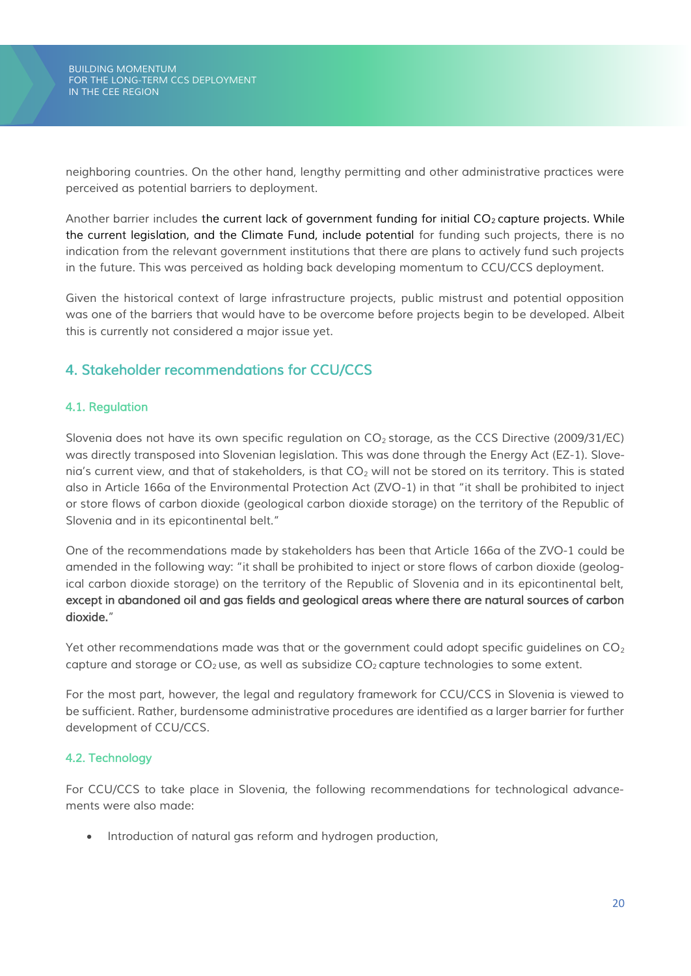*neighboring countries. On the other hand, lengthy permitting and other administrative practices were perceived as potential barriers to deployment.* 

*Another barrier includes the current lack of government funding for initial CO<sup>2</sup> capture projects. While the current legislation, and the Climate Fund, include potential for funding such projects, there is no indication from the relevant government institutions that there are plans to actively fund such projects in the future. This was perceived as holding back developing momentum to CCU/CCS deployment.* 

*Given the historical context of large infrastructure projects, public mistrust and potential opposition was one of the barriers that would have to be overcome before projects begin to be developed. Albeit this is currently not considered a major issue yet.*

## <span id="page-20-0"></span>*4. Stakeholder recommendations for CCU/CCS*

## <span id="page-20-1"></span>*4.1. Regulation*

*Slovenia does not have its own specific regulation on CO<sup>2</sup> storage, as the CCS Directive (2009/31/EC) was directly transposed into Slovenian legislation. This was done through the Energy Act (EZ-1). Slovenia's current view, and that of stakeholders, is that CO<sup>2</sup> will not be stored on its territory. This is stated also in Article 166a of the Environmental Protection Act (ZVO-1) in that "it shall be prohibited to inject or store flows of carbon dioxide (geological carbon dioxide storage) on the territory of the Republic of Slovenia and in its epicontinental belt."*

*One of the recommendations made by stakeholders has been that Article 166a of the ZVO-1 could be amended in the following way: "it shall be prohibited to inject or store flows of carbon dioxide (geological carbon dioxide storage) on the territory of the Republic of Slovenia and in its epicontinental belt, except in abandoned oil and gas fields and geological areas where there are natural sources of carbon dioxide."*

*Yet other recommendations made was that or the government could adopt specific guidelines on CO<sup>2</sup> capture and storage or CO<sup>2</sup> use, as well as subsidize CO<sup>2</sup> capture technologies to some extent.* 

*For the most part, however, the legal and regulatory framework for CCU/CCS in Slovenia is viewed to be sufficient. Rather, burdensome administrative procedures are identified as a larger barrier for further development of CCU/CCS.* 

## <span id="page-20-2"></span>*4.2. Technology*

*For CCU/CCS to take place in Slovenia, the following recommendations for technological advancements were also made:*

• *Introduction of natural gas reform and hydrogen production,*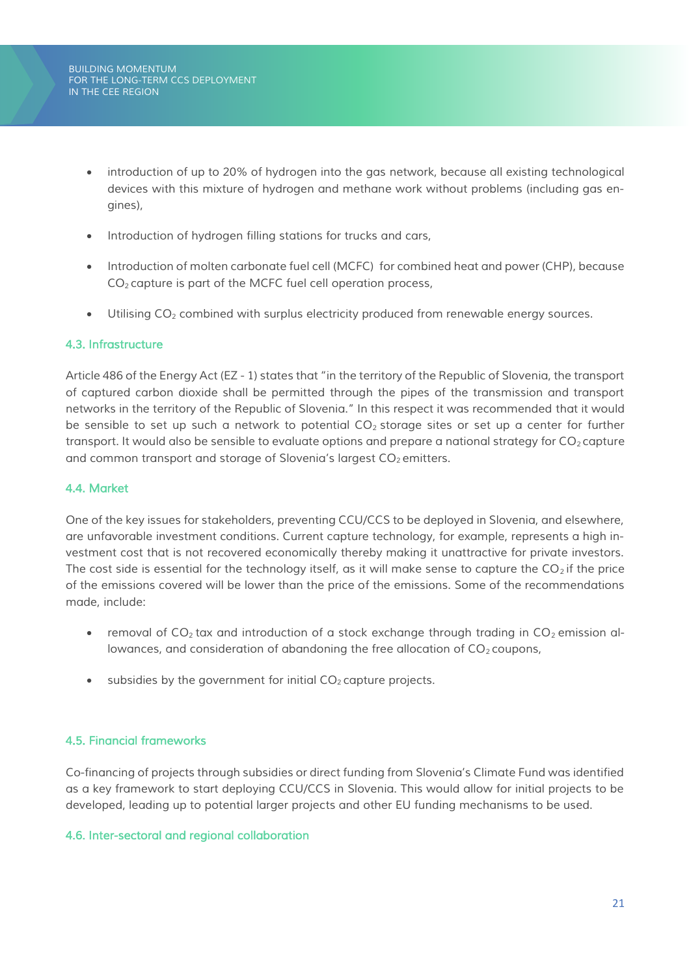- *introduction of up to 20% of hydrogen into the gas network, because all existing technological devices with this mixture of hydrogen and methane work without problems (including gas engines),*
- *Introduction of hydrogen filling stations for trucks and cars,*
- *Introduction of molten carbonate fuel cell (MCFC) for combined heat and power (CHP), because CO<sup>2</sup> capture is part of the MCFC fuel cell operation process,*
- *Utilising CO<sup>2</sup> combined with surplus electricity produced from renewable energy sources.*

#### <span id="page-21-0"></span>*4.3. Infrastructure*

*Article 486 of the Energy Act (EZ - 1) states that "in the territory of the Republic of Slovenia, the transport of captured carbon dioxide shall be permitted through the pipes of the transmission and transport networks in the territory of the Republic of Slovenia." In this respect it was recommended that it would be sensible to set up such a network to potential CO<sup>2</sup> storage sites or set up a center for further transport. It would also be sensible to evaluate options and prepare a national strategy for*  $CO<sub>2</sub>$  *<i>capture and common transport and storage of Slovenia's largest CO<sup>2</sup> emitters.*

#### <span id="page-21-1"></span>*4.4. Market*

*One of the key issues for stakeholders, preventing CCU/CCS to be deployed in Slovenia, and elsewhere, are unfavorable investment conditions. Current capture technology, for example, represents a high investment cost that is not recovered economically thereby making it unattractive for private investors. The cost side is essential for the technology itself, as it will make sense to capture the CO<sup>2</sup> if the price of the emissions covered will be lower than the price of the emissions. Some of the recommendations made, include:*

- *removal of CO<sub>2</sub> tax and introduction of a stock exchange through trading in CO<sub>2</sub> emission allowances, and consideration of abandoning the free allocation of CO<sub>2</sub> coupons,*
- *subsidies by the government for initial CO<sup>2</sup> capture projects.*

#### <span id="page-21-2"></span>*4.5. Financial frameworks*

*Co-financing of projects through subsidies or direct funding from Slovenia's Climate Fund was identified as a key framework to start deploying CCU/CCS in Slovenia. This would allow for initial projects to be developed, leading up to potential larger projects and other EU funding mechanisms to be used.* 

#### <span id="page-21-3"></span>*4.6. Inter-sectoral and regional collaboration*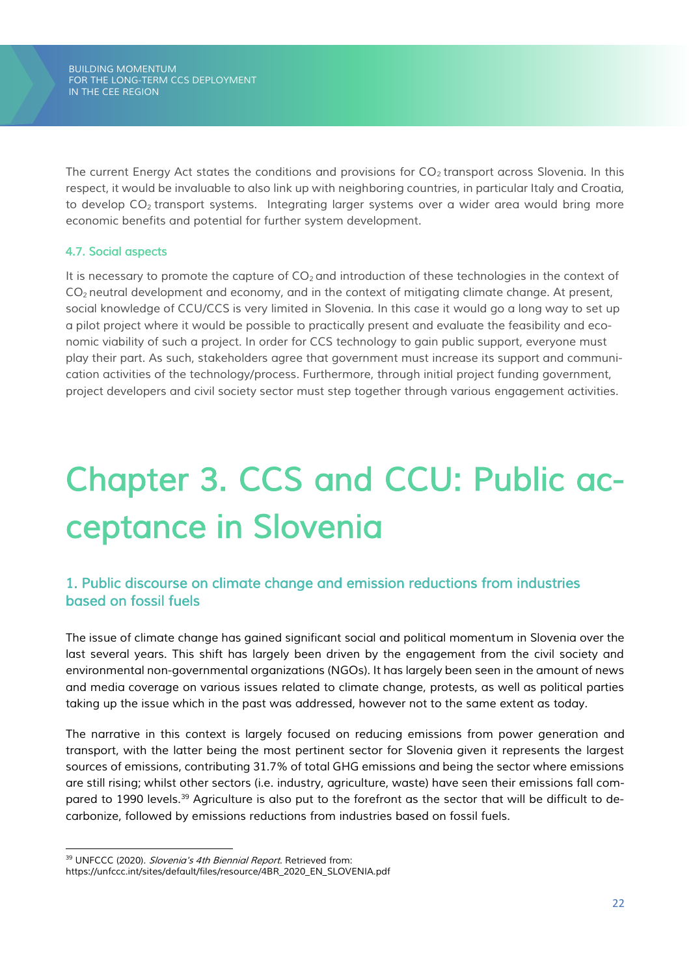*BUILDING MOMENTUM FOR THE LONG-TERM CCS DEPLOYMENT IN THE CEE REGION*

*The current Energy Act states the conditions and provisions for CO<sup>2</sup> transport across Slovenia. In this respect, it would be invaluable to also link up with neighboring countries, in particular Italy and Croatia, to develop CO<sup>2</sup> transport systems. Integrating larger systems over a wider area would bring more economic benefits and potential for further system development.* 

#### <span id="page-22-0"></span>*4.7. Social aspects*

*It is necessary to promote the capture of CO<sup>2</sup> and introduction of these technologies in the context of CO<sup>2</sup> neutral development and economy, and in the context of mitigating climate change. At present, social knowledge of CCU/CCS is very limited in Slovenia. In this case it would go a long way to set up a pilot project where it would be possible to practically present and evaluate the feasibility and economic viability of such a project. In order for CCS technology to gain public support, everyone must play their part. As such, stakeholders agree that government must increase its support and communication activities of the technology/process. Furthermore, through initial project funding government, project developers and civil society sector must step together through various engagement activities.*

# <span id="page-22-1"></span>*Chapter 3. CCS and CCU: Public acceptance in Slovenia*

## <span id="page-22-2"></span>*1. Public discourse on climate change and emission reductions from industries based on fossil fuels*

*The issue of climate change has gained significant social and political momentum in Slovenia over the*  last several years. This shift has largely been driven by the engagement from the civil society and *environmental non-governmental organizations (NGOs). It has largely been seen in the amount of news and media coverage on various issues related to climate change, protests, as well as political parties taking up the issue which in the past was addressed, however not to the same extent as today.* 

*The narrative in this context is largely focused on reducing emissions from power generation and transport, with the latter being the most pertinent sector for Slovenia given it represents the largest sources of emissions, contributing 31.7% of total GHG emissions and being the sector where emissions are still rising; whilst other sectors (i.e. industry, agriculture, waste) have seen their emissions fall compared to 1990 levels.<sup>39</sup> Agriculture is also put to the forefront as the sector that will be difficult to decarbonize, followed by emissions reductions from industries based on fossil fuels.* 

*<sup>39</sup> UNFCCC (2020). Slovenia's 4th Biennial Report. Retrieved from:* 

*https://unfccc.int/sites/default/files/resource/4BR\_2020\_EN\_SLOVENIA.pdf*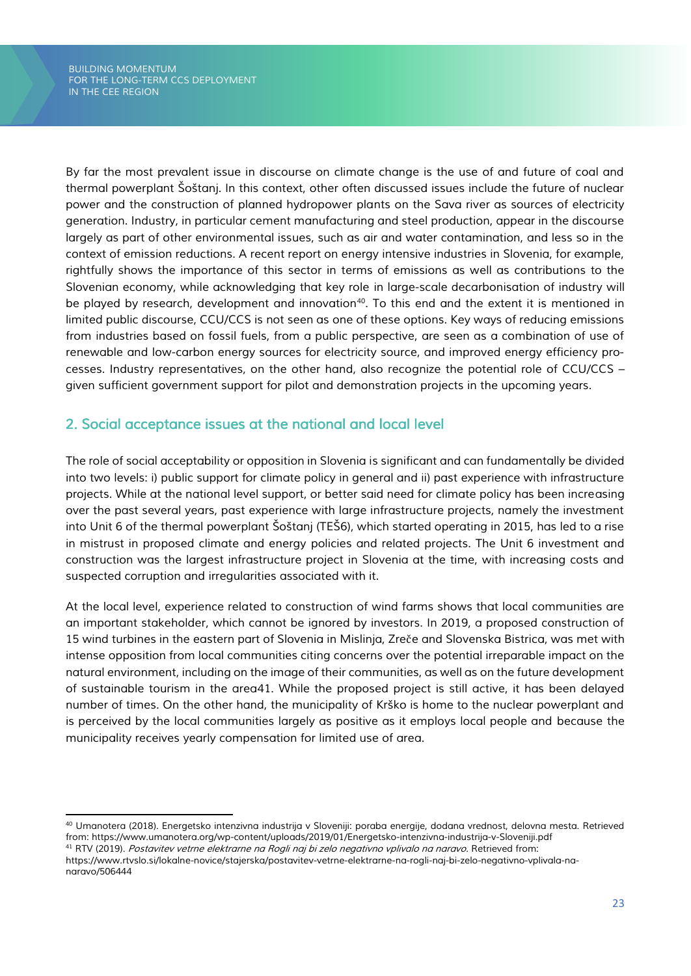*By far the most prevalent issue in discourse on climate change is the use of and future of coal and thermal powerplant Šoštanj. In this context, other often discussed issues include the future of nuclear power and the construction of planned hydropower plants on the Sava river as sources of electricity generation. Industry, in particular cement manufacturing and steel production, appear in the discourse largely as part of other environmental issues, such as air and water contamination, and less so in the context of emission reductions. A recent report on energy intensive industries in Slovenia, for example, rightfully shows the importance of this sector in terms of emissions as well as contributions to the Slovenian economy, while acknowledging that key role in large-scale decarbonisation of industry will be played by research, development and innovation<sup>40</sup>. To this end and the extent it is mentioned in limited public discourse, CCU/CCS is not seen as one of these options. Key ways of reducing emissions from industries based on fossil fuels, from a public perspective, are seen as a combination of use of renewable and low-carbon energy sources for electricity source, and improved energy efficiency processes. Industry representatives, on the other hand, also recognize the potential role of CCU/CCS – given sufficient government support for pilot and demonstration projects in the upcoming years.*

## <span id="page-23-0"></span>*2. Social acceptance issues at the national and local level*

*The role of social acceptability or opposition in Slovenia is significant and can fundamentally be divided into two levels: i) public support for climate policy in general and ii) past experience with infrastructure projects. While at the national level support, or better said need for climate policy has been increasing over the past several years, past experience with large infrastructure projects, namely the investment into Unit 6 of the thermal powerplant Šoštanj (TEŠ6), which started operating in 2015, has led to a rise in mistrust in proposed climate and energy policies and related projects. The Unit 6 investment and construction was the largest infrastructure project in Slovenia at the time, with increasing costs and suspected corruption and irregularities associated with it.*

*At the local level, experience related to construction of wind farms shows that local communities are an important stakeholder, which cannot be ignored by investors. In 2019, a proposed construction of 15 wind turbines in the eastern part of Slovenia in Mislinja, Zre*č*e and Slovenska Bistrica, was met with intense opposition from local communities citing concerns over the potential irreparable impact on the natural environment, including on the image of their communities, as well as on the future development of sustainable tourism in the area41. While the proposed project is still active, it has been delayed number of times. On the other hand, the municipality of Krško is home to the nuclear powerplant and is perceived by the local communities largely as positive as it employs local people and because the municipality receives yearly compensation for limited use of area.* 

*<sup>40</sup> Umanotera (2018). Energetsko intenzivna industrija v Sloveniji: poraba energije, dodana vrednost, delovna mesta. Retrieved from: https://www.umanotera.org/wp-content/uploads/2019/01/Energetsko-intenzivna-industrija-v-Sloveniji.pdf*

*<sup>41</sup> RTV (2019). Postavitev vetrne elektrarne na Rogli naj bi zelo negativno vplivalo na naravo. Retrieved from:* 

*https://www.rtvslo.si/lokalne-novice/stajerska/postavitev-vetrne-elektrarne-na-rogli-naj-bi-zelo-negativno-vplivala-nanaravo/506444*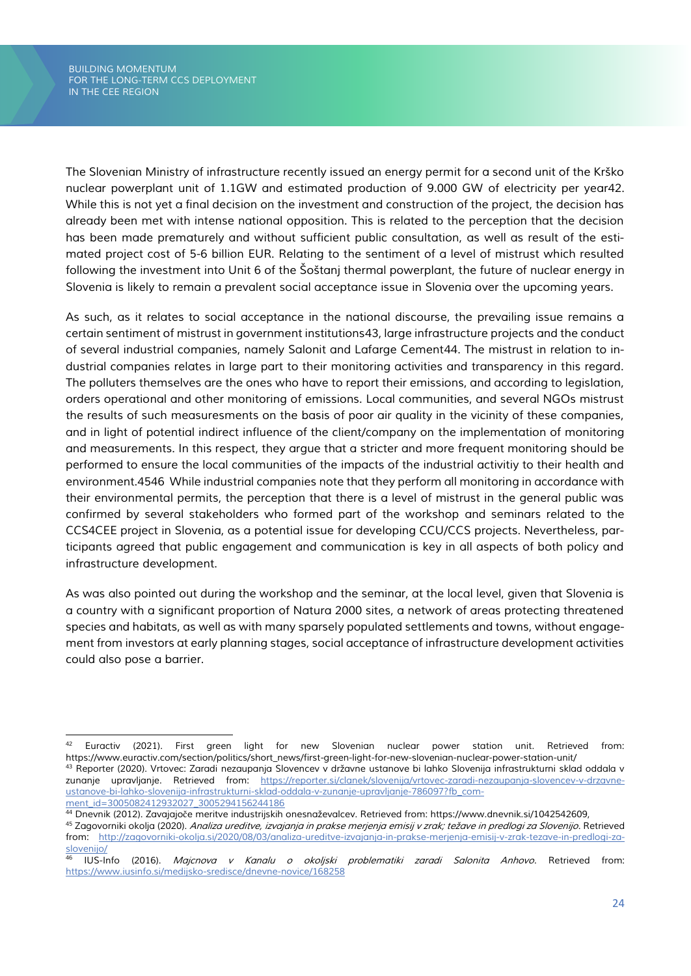*The Slovenian Ministry of infrastructure recently issued an energy permit for a second unit of the Krško nuclear powerplant unit of 1.1GW and estimated production of 9.000 GW of electricity per year42. While this is not yet a final decision on the investment and construction of the project, the decision has already been met with intense national opposition. This is related to the perception that the decision has been made prematurely and without sufficient public consultation, as well as result of the estimated project cost of 5-6 billion EUR. Relating to the sentiment of a level of mistrust which resulted following the investment into Unit 6 of the Šoštanj thermal powerplant, the future of nuclear energy in Slovenia is likely to remain a prevalent social acceptance issue in Slovenia over the upcoming years.*

*As such, as it relates to social acceptance in the national discourse, the prevailing issue remains a certain sentiment of mistrust in government institutions43, large infrastructure projects and the conduct of several industrial companies, namely Salonit and Lafarge Cement44. The mistrust in relation to industrial companies relates in large part to their monitoring activities and transparency in this regard. The polluters themselves are the ones who have to report their emissions, and according to legislation, orders operational and other monitoring of emissions. Local communities, and several NGOs mistrust the results of such measuresments on the basis of poor air quality in the vicinity of these companies, and in light of potential indirect influence of the client/company on the implementation of monitoring and measurements. In this respect, they argue that a stricter and more frequent monitoring should be performed to ensure the local communities of the impacts of the industrial activitiy to their health and environment.4546 While industrial companies note that they perform all monitoring in accordance with their environmental permits, the perception that there is a level of mistrust in the general public was confirmed by several stakeholders who formed part of the workshop and seminars related to the CCS4CEE project in Slovenia, as a potential issue for developing CCU/CCS projects. Nevertheless, participants agreed that public engagement and communication is key in all aspects of both policy and infrastructure development.*

*As was also pointed out during the workshop and the seminar, at the local level, given that Slovenia is a country with a significant proportion of Natura 2000 sites, a network of areas protecting threatened species and habitats, as well as with many sparsely populated settlements and towns, without engagement from investors at early planning stages, social acceptance of infrastructure development activities could also pose a barrier.*

*<sup>42</sup> Euractiv (2021). First green light for new Slovenian nuclear power station unit. Retrieved from: https://www.euractiv.com/section/politics/short\_news/first-green-light-for-new-slovenian-nuclear-power-station-unit/*

*<sup>43</sup> Reporter (2020). Vrtovec: Zaradi nezaupanja Slovencev v državne ustanove bi lahko Slovenija infrastrukturni sklad oddala v zunanje upravljanje. Retrieved from: [https://reporter.si/clanek/slovenija/vrtovec-zaradi-nezaupanja-slovencev-v-drzavne](https://reporter.si/clanek/slovenija/vrtovec-zaradi-nezaupanja-slovencev-v-drzavne-ustanove-bi-lahko-slovenija-infrastrukturni-sklad-oddala-v-zunanje-upravljanje-786097?fb_comment_id=3005082412932027_3005294156244186)[ustanove-bi-lahko-slovenija-infrastrukturni-sklad-oddala-v-zunanje-upravljanje-786097?fb\\_com](https://reporter.si/clanek/slovenija/vrtovec-zaradi-nezaupanja-slovencev-v-drzavne-ustanove-bi-lahko-slovenija-infrastrukturni-sklad-oddala-v-zunanje-upravljanje-786097?fb_comment_id=3005082412932027_3005294156244186)[ment\\_id=3005082412932027\\_3005294156244186](https://reporter.si/clanek/slovenija/vrtovec-zaradi-nezaupanja-slovencev-v-drzavne-ustanove-bi-lahko-slovenija-infrastrukturni-sklad-oddala-v-zunanje-upravljanje-786097?fb_comment_id=3005082412932027_3005294156244186)*

*<sup>44</sup> Dnevnik (2012). Zavajajo*č*e meritve industrijskih onesnaževalcev. Retrieved from: https://www.dnevnik.si/1042542609,* 

*<sup>45</sup> Zagovorniki okolja (2020). Analiza ureditve, izvajanja in prakse merjenja emisij v zrak; težave in predlogi za Slovenijo. Retrieved from: [http://zagovorniki-okolja.si/2020/08/03/analiza-ureditve-izvajanja-in-prakse-merjenja-emisij-v-zrak-tezave-in-predlogi-za](http://zagovorniki-okolja.si/2020/08/03/analiza-ureditve-izvajanja-in-prakse-merjenja-emisij-v-zrak-tezave-in-predlogi-za-slovenijo/)[slovenijo/](http://zagovorniki-okolja.si/2020/08/03/analiza-ureditve-izvajanja-in-prakse-merjenja-emisij-v-zrak-tezave-in-predlogi-za-slovenijo/)*

*<sup>46</sup> IUS-Info (2016). Majcnova v Kanalu o okoljski problematiki zaradi Salonita Anhovo. Retrieved from: <https://www.iusinfo.si/medijsko-sredisce/dnevne-novice/168258>*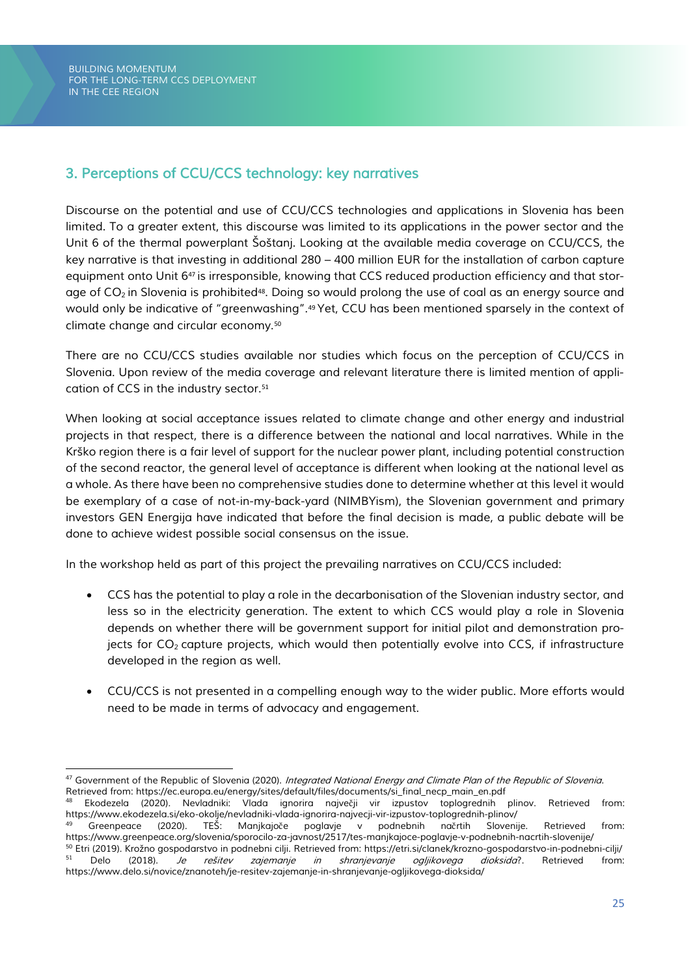*BUILDING MOMENTUM FOR THE LONG-TERM CCS DEPLOYMENT IN THE CEE REGION*

## <span id="page-25-0"></span>*3. Perceptions of CCU/CCS technology: key narratives*

*Discourse on the potential and use of CCU/CCS technologies and applications in Slovenia has been limited. To a greater extent, this discourse was limited to its applications in the power sector and the Unit 6 of the thermal powerplant Šoštanj. Looking at the available media coverage on CCU/CCS, the key narrative is that investing in additional 280 – 400 million EUR for the installation of carbon capture equipment onto Unit 6*<sup>47</sup> *is irresponsible, knowing that CCS reduced production efficiency and that storage of CO2 in Slovenia is prohibited*48*. Doing so would prolong the use of coal as an energy source and would only be indicative of "greenwashing".*<sup>49</sup> *Yet, CCU has been mentioned sparsely in the context of climate change and circular economy.*<sup>50</sup>

*There are no CCU/CCS studies available nor studies which focus on the perception of CCU/CCS in Slovenia. Upon review of the media coverage and relevant literature there is limited mention of application of CCS in the industry sector.*<sup>51</sup>

*When looking at social acceptance issues related to climate change and other energy and industrial projects in that respect, there is a difference between the national and local narratives. While in the Krško region there is a fair level of support for the nuclear power plant, including potential construction of the second reactor, the general level of acceptance is different when looking at the national level as a whole. As there have been no comprehensive studies done to determine whether at this level it would be exemplary of a case of not-in-my-back-yard (NIMBYism), the Slovenian government and primary investors GEN Energija have indicated that before the final decision is made, a public debate will be done to achieve widest possible social consensus on the issue.* 

*In the workshop held as part of this project the prevailing narratives on CCU/CCS included:* 

- *CCS has the potential to play a role in the decarbonisation of the Slovenian industry sector, and less so in the electricity generation. The extent to which CCS would play a role in Slovenia depends on whether there will be government support for initial pilot and demonstration projects for CO2 capture projects, which would then potentially evolve into CCS, if infrastructure developed in the region as well.*
- *CCU/CCS is not presented in a compelling enough way to the wider public. More efforts would need to be made in terms of advocacy and engagement.*

*<sup>47</sup> Government of the Republic of Slovenia (2020). Integrated National Energy and Climate Plan of the Republic of Slovenia. Retrieved from: https://ec.europa.eu/energy/sites/default/files/documents/si\_final\_necp\_main\_en.pdf*

*<sup>48</sup> Ekodezela (2020). Nevladniki: Vlada ignorira najve*č*ji vir izpustov toplogrednih plinov. Retrieved from: https://www.ekodezela.si/eko-okolje/nevladniki-vlada-ignorira-najvecji-vir-izpustov-toplogrednih-plinov/* 

*<sup>49</sup> Greenpeace (2020). TEŠ: Manjkajo*č*e poglavje v podnebnih na*č*rtih Slovenije. Retrieved from: https://www.greenpeace.org/slovenia/sporocilo-za-javnost/2517/tes-manjkajoce-poglavje-v-podnebnih-nacrtih-slovenije/*

*<sup>50</sup> Etri (2019). Krožno gospodarstvo in podnebni cilji. Retrieved from: https://etri.si/clanek/krozno-gospodarstvo-in-podnebni-cilji/ <sup>51</sup> Delo (2018). Je rešitev zajemanje in shranjevanje ogljikovega dioksida?. Retrieved from: https://www.delo.si/novice/znanoteh/je-resitev-zajemanje-in-shranjevanje-ogljikovega-dioksida/*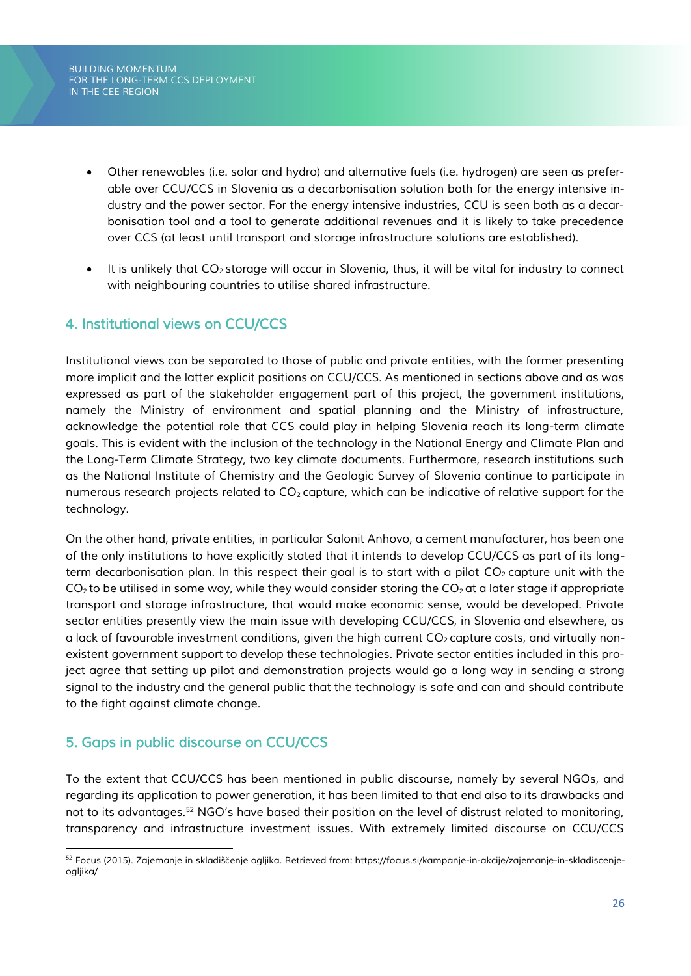*BUILDING MOMENTUM FOR THE LONG-TERM CCS DEPLOYMENT IN THE CEE REGION*

- *Other renewables (i.e. solar and hydro) and alternative fuels (i.e. hydrogen) are seen as preferable over CCU/CCS in Slovenia as a decarbonisation solution both for the energy intensive industry and the power sector. For the energy intensive industries, CCU is seen both as a decarbonisation tool and a tool to generate additional revenues and it is likely to take precedence over CCS (at least until transport and storage infrastructure solutions are established).*
- *It is unlikely that CO2 storage will occur in Slovenia, thus, it will be vital for industry to connect with neighbouring countries to utilise shared infrastructure.*

## <span id="page-26-0"></span>*4. Institutional views on CCU/CCS*

*Institutional views can be separated to those of public and private entities, with the former presenting more implicit and the latter explicit positions on CCU/CCS. As mentioned in sections above and as was expressed as part of the stakeholder engagement part of this project, the government institutions, namely the Ministry of environment and spatial planning and the Ministry of infrastructure, acknowledge the potential role that CCS could play in helping Slovenia reach its long-term climate goals. This is evident with the inclusion of the technology in the National Energy and Climate Plan and the Long-Term Climate Strategy, two key climate documents. Furthermore, research institutions such as the National Institute of Chemistry and the Geologic Survey of Slovenia continue to participate in numerous research projects related to CO2 capture, which can be indicative of relative support for the technology.*

*On the other hand, private entities, in particular Salonit Anhovo, a cement manufacturer, has been one of the only institutions to have explicitly stated that it intends to develop CCU/CCS as part of its longterm decarbonisation plan. In this respect their goal is to start with a pilot CO2 capture unit with the CO2 to be utilised in some way, while they would consider storing the CO2 at a later stage if appropriate transport and storage infrastructure, that would make economic sense, would be developed. Private sector entities presently view the main issue with developing CCU/CCS, in Slovenia and elsewhere, as a lack of favourable investment conditions, given the high current CO2 capture costs, and virtually nonexistent government support to develop these technologies. Private sector entities included in this project agree that setting up pilot and demonstration projects would go a long way in sending a strong signal to the industry and the general public that the technology is safe and can and should contribute to the fight against climate change.*

## <span id="page-26-1"></span>*5. Gaps in public discourse on CCU/CCS*

*To the extent that CCU/CCS has been mentioned in public discourse, namely by several NGOs, and regarding its application to power generation, it has been limited to that end also to its drawbacks and not to its advantages.<sup>52</sup> NGO's have based their position on the level of distrust related to monitoring, transparency and infrastructure investment issues. With extremely limited discourse on CCU/CCS* 

*<sup>52</sup> Focus (2015). Zajemanje in skladiš*č*enje ogljika. Retrieved from: https://focus.si/kampanje-in-akcije/zajemanje-in-skladiscenjeogljika/*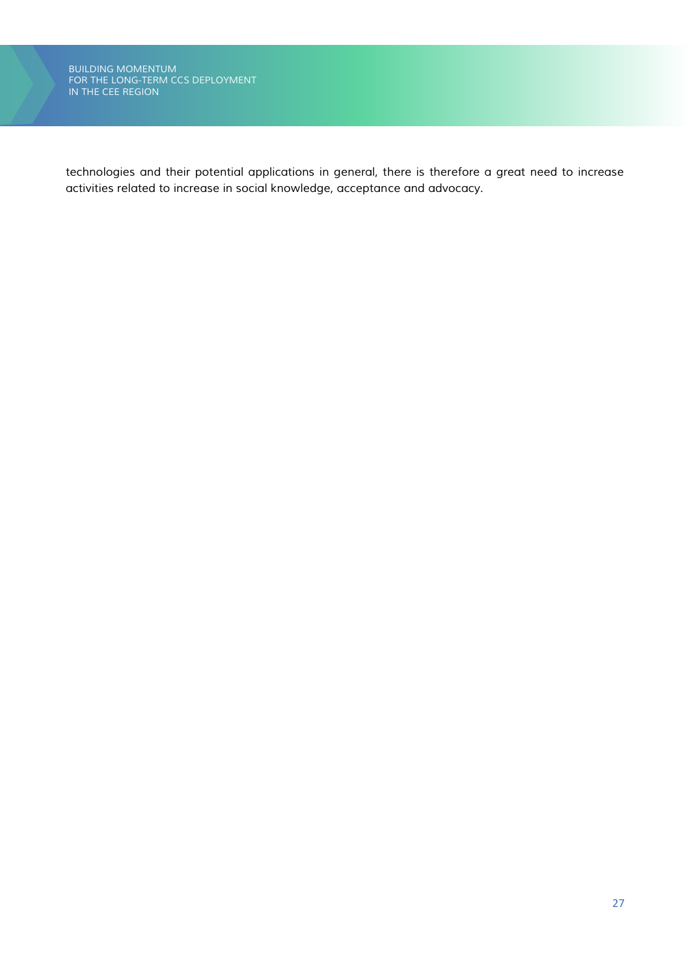*technologies and their potential applications in general, there is therefore a great need to increase activities related to increase in social knowledge, acceptance and advocacy.*